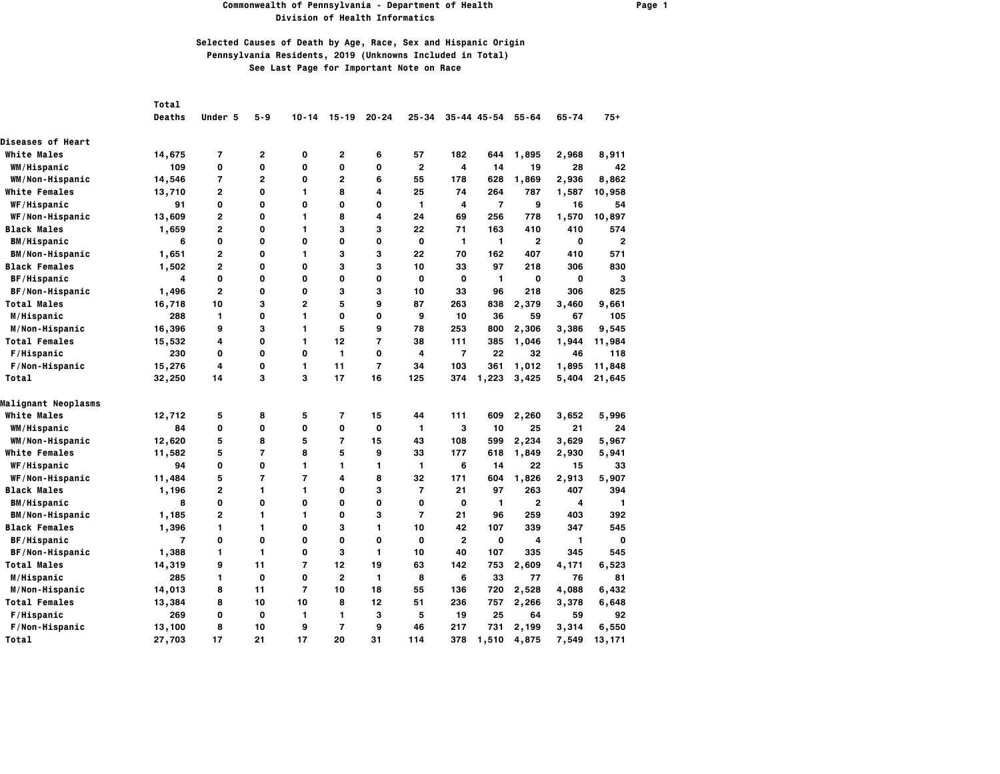### **Commonwealth of Pennsylvania - Department of Health Page 1 Division of Health Informatics**

|                          | Total          |                |                |                |                |                |                |                |                     |                |       |                |
|--------------------------|----------------|----------------|----------------|----------------|----------------|----------------|----------------|----------------|---------------------|----------------|-------|----------------|
|                          | <b>Deaths</b>  | Under 5        | $5 - 9$        | $10 - 14$      | $15 - 19$      | $20 - 24$      | $25 - 34$      |                | $35 - 44$ $45 - 54$ | $55 - 64$      | 65-74 | $75+$          |
| <b>Diseases of Heart</b> |                |                |                |                |                |                |                |                |                     |                |       |                |
| <b>White Males</b>       | 14,675         | 7              | 2              | 0              | 2              | 6              | 57             | 182            | 644                 | 1,895          | 2,968 | 8,911          |
| WM/Hispanic              | 109            | 0              | 0              | 0              | O              | 0              | $\overline{2}$ | 4              | 14                  | 19             | 28    | 42             |
| WM/Non-Hispanic          | 14,546         | $\overline{7}$ | $\overline{2}$ | 0              | $\overline{2}$ | 6              | 55             | 178            | 628                 | 1,869          | 2,936 | 8,862          |
| <b>White Females</b>     | 13,710         | 2              | 0              | 1              | 8              | 4              | 25             | 74             | 264                 | 787            | 1,587 | 10,958         |
| WF/Hispanic              | 91             | 0              | 0              | 0              | 0              | 0              | 1              | 4              | $\overline{7}$      | 9              | 16    | 54             |
| WF/Non-Hispanic          | 13,609         | $\overline{2}$ | 0              | 1              | 8              | 4              | 24             | 69             | 256                 | 778            | 1,570 | 10,897         |
| <b>Black Males</b>       | 1,659          | 2              | 0              | 1              | 3              | 3              | 22             | 71             | 163                 | 410            | 410   | 574            |
| <b>BM/Hispanic</b>       | 6              | 0              | 0              | 0              | 0              | O              | 0              | $\mathbf{1}$   | $\mathbf{1}$        | $\overline{2}$ | 0     | $\overline{2}$ |
| BM/Non-Hispanic          | 1,651          | $\overline{2}$ | 0              | 1              | 3              | 3              | 22             | 70             | 162                 | 407            | 410   | 571            |
| <b>Black Females</b>     | 1,502          | $\overline{2}$ | 0              | 0              | 3              | 3              | 10             | 33             | 97                  | 218            | 306   | 830            |
| <b>BF/Hispanic</b>       | 4              | 0              | 0              | 0              | 0              | 0              | 0              | 0              | $\mathbf{1}$        | 0              | 0     | 3              |
| BF/Non-Hispanic          | 1,496          | $\overline{2}$ | 0              | 0              | 3              | 3              | 10             | 33             | 96                  | 218            | 306   | 825            |
| <b>Total Males</b>       | 16,718         | 10             | 3              | $\mathbf{2}$   | 5              | 9              | 87             | 263            | 838                 | 2,379          | 3,460 | 9,661          |
| M/Hispanic               | 288            | 1              | 0              | 1              | 0              | $\Omega$       | 9              | 10             | 36                  | 59             | 67    | 105            |
| M/Non-Hispanic           | 16,396         | 9              | 3              | 1              | 5              | 9              | 78             | 253            | 800                 | 2,306          | 3,386 | 9,545          |
| <b>Total Females</b>     | 15,532         | 4              | 0              | 1              | 12             | $\overline{7}$ | 38             | 111            | 385                 | 1,046          | 1,944 | 11,984         |
| F/Hispanic               | 230            | 0              | 0              | 0              | 1              | 0              | 4              | $\overline{7}$ | 22                  | 32             | 46    | 118            |
| F/Non-Hispanic           | 15,276         | 4              | 0              | 1.             | 11             | $\overline{7}$ | 34             | 103            | 361                 | 1,012          | 1,895 | 11,848         |
| Total                    | 32,250         | 14             | 3              | 3              | 17             | 16             | 125            | 374            | 1,223               | 3,425          | 5,404 | 21,645         |
| Malignant Neoplasms      |                |                |                |                |                |                |                |                |                     |                |       |                |
| <b>White Males</b>       | 12,712         | 5              | 8              | 5              | $\overline{7}$ | 15             | 44             | 111            | 609                 | 2,260          | 3,652 | 5,996          |
| WM/Hispanic              | 84             | 0              | 0              | 0              | 0              | $\mathbf 0$    | 1              | з              | 10                  | 25             | 21    | 24             |
| WM/Non-Hispanic          | 12,620         | 5              | 8              | 5              | $\overline{7}$ | 15             | 43             | 108            | 599                 | 2,234          | 3,629 | 5,967          |
| <b>White Females</b>     | 11,582         | 5              | 7              | 8              | 5              | 9              | 33             | 177            | 618                 | 1,849          | 2,930 | 5,941          |
| WF/Hispanic              | 94             | 0              | 0              | 1              | 1              | 1              | 1              | 6              | 14                  | 22             | 15    | 33             |
| WF/Non-Hispanic          | 11,484         | 5              | 7              | $\overline{7}$ | 4              | 8              | 32             | 171            | 604                 | 1,826          | 2,913 | 5,907          |
| <b>Black Males</b>       | 1,196          | 2              | 1              | 1              | 0              | 3              | $\overline{7}$ | 21             | 97                  | 263            | 407   | 394            |
| <b>BM/Hispanic</b>       | 8              | 0              | 0              | 0              | 0              | 0              | 0              | 0              | $\mathbf{1}$        | $\overline{2}$ | 4     | $\mathbf{1}$   |
| <b>BM/Non-Hispanic</b>   | 1,185          | $\overline{2}$ | 1              | 1              | 0              | 3              | $\overline{7}$ | 21             | 96                  | 259            | 403   | 392            |
| <b>Black Females</b>     | 1,396          | 1              | 1              | 0              | 3              | 1              | 10             | 42             | 107                 | 339            | 347   | 545            |
| BF/Hispanic              | $\overline{7}$ | 0              | 0              | 0              | 0              | $\mathbf 0$    | 0              | $\mathbf{2}$   | $\mathbf 0$         | 4              | 1     | $\mathbf 0$    |
| BF/Non-Hispanic          | 1,388          | 1              | 1              | 0              | 3              | 1              | 10             | 40             | 107                 | 335            | 345   | 545            |
| <b>Total Males</b>       | 14,319         | 9              | 11             | $\overline{7}$ | 12             | 19             | 63             | 142            | 753                 | 2,609          | 4,171 | 6,523          |
| M/Hispanic               | 285            | 1              | 0              | 0              | $\overline{2}$ | 1              | 8              | 6              | 33                  | 77             | 76    | 81             |
| M/Non-Hispanic           | 14,013         | 8              | 11             | $\overline{7}$ | 10             | 18             | 55             | 136            | 720                 | 2,528          | 4,088 | 6,432          |
| <b>Total Females</b>     | 13,384         | 8              | 10             | 10             | 8              | 12             | 51             | 236            | 757                 | 2,266          | 3,378 | 6,648          |
| F/Hispanic               | 269            | 0              | 0              | 1              | 1              | 3              | 5              | 19             | 25                  | 64             | 59    | 92             |
| F/Non-Hispanic           | 13,100         | 8              | 10             | 9              | $\overline{7}$ | 9              | 46             | 217            | 731                 | 2,199          | 3,314 | 6,550          |
| Total                    | 27,703         | 17             | 21             | 17             | 20             | 31             | 114            | 378            | 1,510               | 4,875          | 7,549 | 13,171         |
|                          |                |                |                |                |                |                |                |                |                     |                |       |                |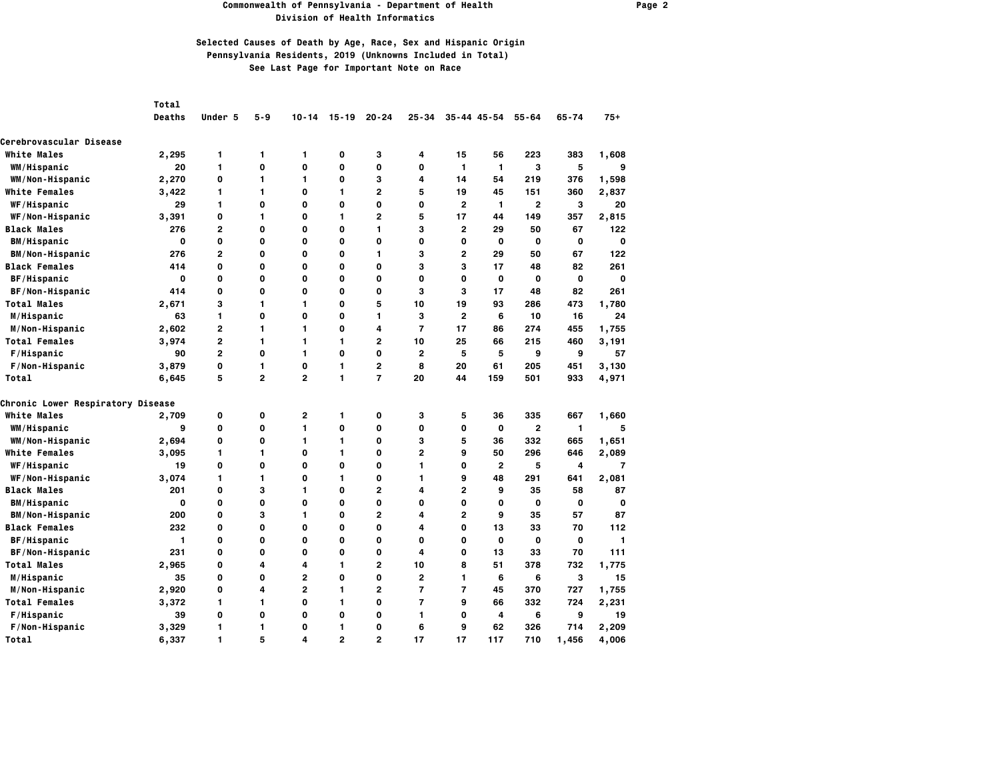#### **Commonwealth of Pennsylvania - Department of Health Page 2 Division of Health Informatics**

|                                   | Total         |                |                |                |                |                |                |                |                 |                |             |             |
|-----------------------------------|---------------|----------------|----------------|----------------|----------------|----------------|----------------|----------------|-----------------|----------------|-------------|-------------|
|                                   | <b>Deaths</b> | Under 5        | $5 - 9$        | $10 - 14$      | $15 - 19$      | $20 - 24$      | $25 - 34$      |                | $35 - 44$ 45-54 | $55 - 64$      | $65 - 74$   | $75+$       |
| Cerebrovascular Disease           |               |                |                |                |                |                |                |                |                 |                |             |             |
| <b>White Males</b>                | 2,295         | 1              | 1              | 1              | 0              | З              | 4              | 15             | 56              | 223            | 383         | 1,608       |
| WM/Hispanic                       | 20            | 1              | $\mathbf{o}$   | 0              | 0              | 0              | 0              | $\mathbf{1}$   | $\mathbf{1}$    | 3              | 5           | 9           |
| WM/Non-Hispanic                   | 2,270         | 0              | 1              | 1              | 0              | 3              | 4              | 14             | 54              | 219            | 376         | 1,598       |
| <b>White Females</b>              | 3,422         | 1              | 1              | 0              | 1              | $\overline{2}$ | 5              | 19             | 45              | 151            | 360         | 2,837       |
| WF/Hispanic                       | 29            | 1              | 0              | 0              | 0              | 0              | 0              | $\mathbf{2}$   | 1               | 2              | 3           | 20          |
| WF/Non-Hispanic                   | 3,391         | 0              | 1              | 0              | 1              | $\overline{2}$ | 5              | 17             | 44              | 149            | 357         | 2,815       |
| <b>Black Males</b>                | 276           | $\overline{2}$ | 0              | 0              | 0              | 1              | 3              | 2              | 29              | 50             | 67          | 122         |
| <b>BM/Hispanic</b>                | 0             | 0              | 0              | 0              | 0              | 0              | 0              | $\mathbf 0$    | $\mathbf 0$     | 0              | 0           | $\mathbf 0$ |
| <b>BM/Non-Hispanic</b>            | 276           | 2              | 0              | 0              | 0              | 1              | 3              | 2              | 29              | 50             | 67          | 122         |
| <b>Black Females</b>              | 414           | 0              | 0              | 0              | 0              | 0              | 3              | 3              | 17              | 48             | 82          | 261         |
| BF/Hispanic                       | 0             | 0              | 0              | 0              | 0              | 0              | 0              | 0              | 0               | 0              | 0           | $\mathbf 0$ |
| <b>BF/Non-Hispanic</b>            | 414           | 0              | 0              | 0              | 0              | 0              | 3              | 3              | 17              | 48             | 82          | 261         |
| <b>Total Males</b>                | 2,671         | 3              | 1              | 1              | 0              | 5              | 10             | 19             | 93              | 286            | 473         | 1,780       |
| M/Hispanic                        | 63            | 1              | 0              | 0              | 0              | 1              | 3              | $\mathbf{2}$   | 6               | 10             | 16          | 24          |
| M/Non-Hispanic                    | 2,602         | 2              | 1              | 1              | 0              | 4              | $\overline{7}$ | 17             | 86              | 274            | 455         | 1,755       |
| <b>Total Females</b>              | 3,974         | 2              | 1              | 1              | 1              | $\overline{2}$ | 10             | 25             | 66              | 215            | 460         | 3,191       |
| F/Hispanic                        | 90            | $\overline{2}$ | 0              | 1              | 0              | 0              | 2              | 5              | 5               | 9              | 9           | 57          |
| F/Non-Hispanic                    | 3,879         | 0              | 1              | $\mathbf 0$    | 1              | $\overline{2}$ | 8              | 20             | 61              | 205            | 451         | 3,130       |
| Total                             | 6,645         | 5              | $\overline{2}$ | $\overline{2}$ | 1              | $\overline{7}$ | 20             | 44             | 159             | 501            | 933         | 4,971       |
| Chronic Lower Respiratory Disease |               |                |                |                |                |                |                |                |                 |                |             |             |
| <b>White Males</b>                | 2,709         | 0              | 0              | 2              | 1              | 0              | 3              | 5              | 36              | 335            | 667         | 1,660       |
| WM/Hispanic                       | 9             | 0              | 0              | 1              | 0              | 0              | 0              | $\mathbf 0$    | $\mathbf 0$     | $\overline{2}$ | 1           | 5           |
| WM/Non-Hispanic                   | 2,694         | 0              | 0              | 1              | 1              | 0              | 3              | 5              | 36              | 332            | 665         | 1,651       |
| <b>White Females</b>              | 3,095         | 1              | 1              | 0              | 1              | 0              | $\overline{2}$ | 9              | 50              | 296            | 646         | 2,089       |
| <b>WF/Hispanic</b>                | 19            | 0              | 0              | 0              | 0              | 0              | 1              | 0              | $\overline{2}$  | 5              | 4           | 7           |
| WF/Non-Hispanic                   | 3,074         | 1              | 1              | 0              | 1              | 0              | 1              | 9              | 48              | 291            | 641         | 2,081       |
| <b>Black Males</b>                | 201           | 0              | 3              | 1              | 0              | $\overline{2}$ | 4              | 2              | 9               | 35             | 58          | 87          |
| <b>BM/Hispanic</b>                | 0             | 0              | 0              | 0              | 0              | 0              | 0              | 0              | 0               | O              | $\mathbf 0$ | 0           |
| <b>BM/Non-Hispanic</b>            | 200           | 0              | 3              | 1              | 0              | $\overline{2}$ | 4              | 2              | 9               | 35             | 57          | 87          |
| <b>Black Females</b>              | 232           | 0              | 0              | 0              | 0              | 0              | 4              | 0              | 13              | 33             | 70          | 112         |
| BF/Hispanic                       | 1             | 0              | 0              | 0              | 0              | 0              | 0              | O              | $\mathbf 0$     | O              | 0           | 1           |
| <b>BF/Non-Hispanic</b>            | 231           | 0              | 0              | 0              | 0              | 0              | 4              | 0              | 13              | 33             | 70          | 111         |
| <b>Total Males</b>                | 2,965         | 0              | 4              | 4              | 1              | $\overline{2}$ | 10             | 8              | 51              | 378            | 732         | 1,775       |
| M/Hispanic                        | 35            | 0              | 0              | $\overline{2}$ | 0              | 0              | $\overline{2}$ | 1              | 6               | 6              | 3           | 15          |
| M/Non-Hispanic                    | 2,920         | 0              | 4              | $\overline{2}$ | 1              | 2              | $\overline{7}$ | $\overline{7}$ | 45              | 370            | 727         | 1,755       |
| <b>Total Females</b>              | 3,372         | 1              | 1              | 0              | 1              | 0              | $\overline{7}$ | 9              | 66              | 332            | 724         | 2,231       |
| F/Hispanic                        | 39            | 0              | 0              | 0              | 0              | 0              | 1              | 0              | 4               | 6              | 9           | 19          |
| F/Non-Hispanic                    | 3,329         | 1              | 1              | 0              | 1              | 0              | 6              | 9              | 62              | 326            | 714         | 2,209       |
| Total                             | 6,337         | 1              | 5              | 4              | $\overline{2}$ | $\overline{2}$ | 17             | 17             | 117             | 710            | 1,456       | 4,006       |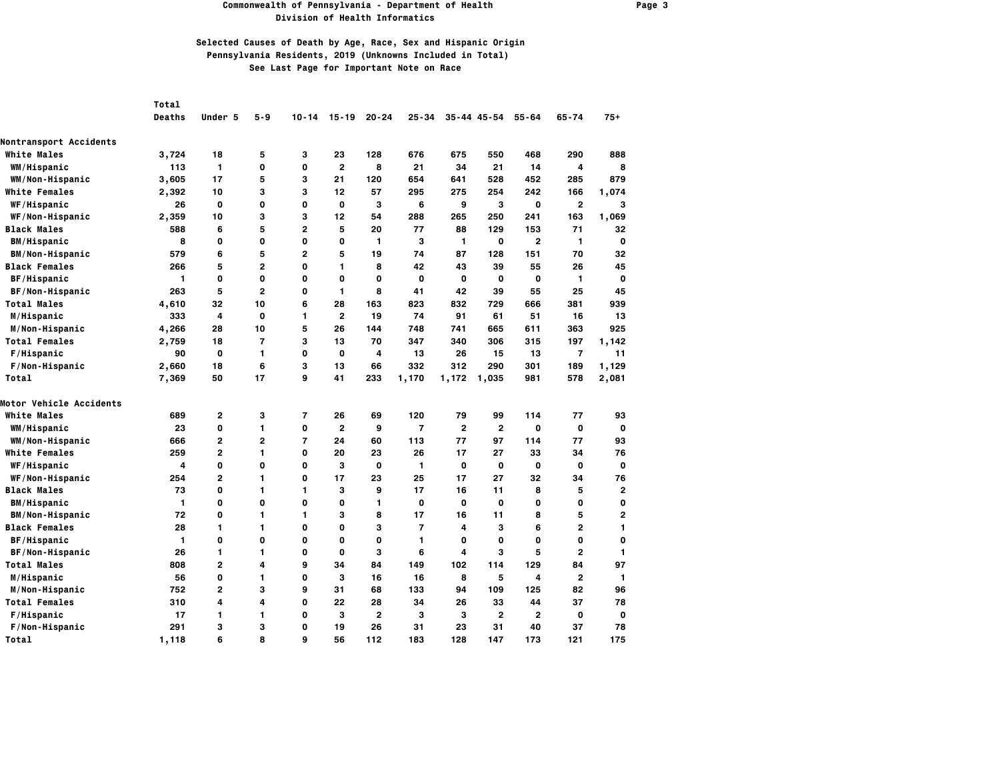#### **Commonwealth of Pennsylvania - Department of Health Page 3 Division of Health Informatics**

|                               | <b>Total</b>  |                |                |                |                         |                |                |                |                |                |                |              |
|-------------------------------|---------------|----------------|----------------|----------------|-------------------------|----------------|----------------|----------------|----------------|----------------|----------------|--------------|
|                               | <b>Deaths</b> | Under 5        | $5 - 9$        | $10 - 14$      | $15 - 19$               | $20 - 24$      | $25 - 34$      |                | 35-44 45-54    | $55 - 64$      | $65 - 74$      | $75+$        |
| <b>Nontransport Accidents</b> |               |                |                |                |                         |                |                |                |                |                |                |              |
| <b>White Males</b>            | 3,724         | 18             | 5              | з              | 23                      | 128            | 676            | 675            | 550            | 468            | 290            | 888          |
| <b>WM/Hispanic</b>            | 113           | $\mathbf{1}$   | 0              | 0              | $\overline{2}$          | 8              | 21             | 34             | 21             | 14             | 4              | 8            |
| WM/Non-Hispanic               | 3,605         | 17             | 5              | 3              | 21                      | 120            | 654            | 641            | 528            | 452            | 285            | 879          |
| <b>White Females</b>          | 2,392         | 10             | 3              | 3              | 12                      | 57             | 295            | 275            | 254            | 242            | 166            | 1,074        |
| <b>WF/Hispanic</b>            | 26            | 0              | 0              | 0              | 0                       | з              | 6              | 9              | з              | 0              | $\overline{2}$ | з            |
| WF/Non-Hispanic               | 2,359         | 10             | з              | 3              | 12                      | 54             | 288            | 265            | 250            | 241            | 163            | 1,069        |
| <b>Black Males</b>            | 588           | 6              | 5              | $\overline{2}$ | 5                       | 20             | 77             | 88             | 129            | 153            | 71             | 32           |
| <b>BM/Hispanic</b>            | 8             | 0              | 0              | 0              | 0                       | $\mathbf{1}$   | з              | 1              | 0              | 2              | 1              | 0            |
| BM/Non-Hispanic               | 579           | 6              | 5              | $\overline{2}$ | 5                       | 19             | 74             | 87             | 128            | 151            | 70             | 32           |
| <b>Black Females</b>          | 266           | 5              | $\overline{2}$ | 0              | 1                       | 8              | 42             | 43             | 39             | 55             | 26             | 45           |
| <b>BF/Hispanic</b>            | 1             | 0              | 0              | 0              | 0                       | 0              | O              | 0              | 0              | 0              | 1              | 0            |
| BF/Non-Hispanic               | 263           | 5              | $\overline{2}$ | 0              | 1                       | 8              | 41             | 42             | 39             | 55             | 25             | 45           |
| <b>Total Males</b>            | 4,610         | 32             | 10             | 6              | 28                      | 163            | 823            | 832            | 729            | 666            | 381            | 939          |
| M/Hispanic                    | 333           | 4              | 0              | 1              | $\overline{\mathbf{c}}$ | 19             | 74             | 91             | 61             | 51             | 16             | 13           |
| M/Non-Hispanic                | 4,266         | 28             | 10             | 5              | 26                      | 144            | 748            | 741            | 665            | 611            | 363            | 925          |
| <b>Total Females</b>          | 2,759         | 18             | 7              | 3              | 13                      | 70             | 347            | 340            | 306            | 315            | 197            | 1,142        |
| F/Hispanic                    | 90            | 0              | 1              | 0              | 0                       | 4              | 13             | 26             | 15             | 13             | 7              | 11           |
| F/Non-Hispanic                | 2,660         | 18             | 6              | 3              | 13                      | 66             | 332            | 312            | 290            | 301            | 189            | 1,129        |
| Total                         | 7,369         | 50             | 17             | 9              | 41                      | 233            | 1,170          | 1,172          | 1,035          | 981            | 578            | 2,081        |
| Motor Vehicle Accidents       |               |                |                |                |                         |                |                |                |                |                |                |              |
| <b>White Males</b>            | 689           | $\overline{2}$ | з              | 7              | 26                      | 69             | 120            | 79             | 99             | 114            | 77             | 93           |
| <b>WM/Hispanic</b>            | 23            | 0              | 1              | 0              | 2                       | 9              | $\overline{7}$ | $\overline{2}$ | $\mathbf{2}$   | 0              | 0              | $\mathbf 0$  |
| WM/Non-Hispanic               | 666           | 2              | $\overline{2}$ | $\overline{7}$ | 24                      | 60             | 113            | 77             | 97             | 114            | 77             | 93           |
| <b>White Females</b>          | 259           | 2              | 1              | 0              | 20                      | 23             | 26             | 17             | 27             | 33             | 34             | 76           |
| <b>WF/Hispanic</b>            | 4             | 0              | 0              | 0              | 3                       | $\mathbf{o}$   | 1              | 0              | 0              | 0              | 0              | $\mathbf{0}$ |
| WF/Non-Hispanic               | 254           | 2              | 1              | 0              | 17                      | 23             | 25             | 17             | 27             | 32             | 34             | 76           |
| <b>Black Males</b>            | 73            | 0              | 1              | 1              | 3                       | 9              | 17             | 16             | 11             | 8              | 5              | 2            |
| <b>BM/Hispanic</b>            | 1             | 0              | 0              | 0              | 0                       | $\mathbf{1}$   | O              | 0              | 0              | 0              | 0              | 0            |
| <b>BM/Non-Hispanic</b>        | 72            | 0              | 1              | 1              | 3                       | 8              | 17             | 16             | 11             | 8              | 5              | 2            |
| <b>Black Females</b>          | 28            | 1              | 1              | 0              | 0                       | 3              | $\overline{7}$ | 4              | 3              | 6              | $\overline{2}$ | 1            |
| <b>BF/Hispanic</b>            | 1             | 0              | 0              | 0              | 0                       | 0              | 1              | 0              | 0              | 0              | 0              | 0            |
| <b>BF/Non-Hispanic</b>        | 26            | 1              | 1              | 0              | 0                       | 3              | 6              | 4              | 3              | 5              | $\mathbf{2}$   | 1            |
| <b>Total Males</b>            | 808           | 2              | 4              | 9              | 34                      | 84             | 149            | 102            | 114            | 129            | 84             | 97           |
| M/Hispanic                    | 56            | 0              | 1              | 0              | 3                       | 16             | 16             | 8              | 5              | 4              | $\overline{2}$ | $\mathbf{1}$ |
| M/Non-Hispanic                | 752           | $\overline{2}$ | 3              | 9              | 31                      | 68             | 133            | 94             | 109            | 125            | 82             | 96           |
| <b>Total Females</b>          | 310           | 4              | 4              | 0              | 22                      | 28             | 34             | 26             | 33             | 44             | 37             | 78           |
| F/Hispanic                    | 17            | 1              | 1              | 0              | 3                       | $\overline{2}$ | 3              | 3              | $\overline{2}$ | $\overline{2}$ | 0              | 0            |
| F/Non-Hispanic                | 291           | 3              | 3              | 0              | 19                      | 26             | 31             | 23             | 31             | 40             | 37             | 78           |
| Total                         | 1,118         | 6              | 8              | 9              | 56                      | 112            | 183            | 128            | 147            | 173            | 121            | 175          |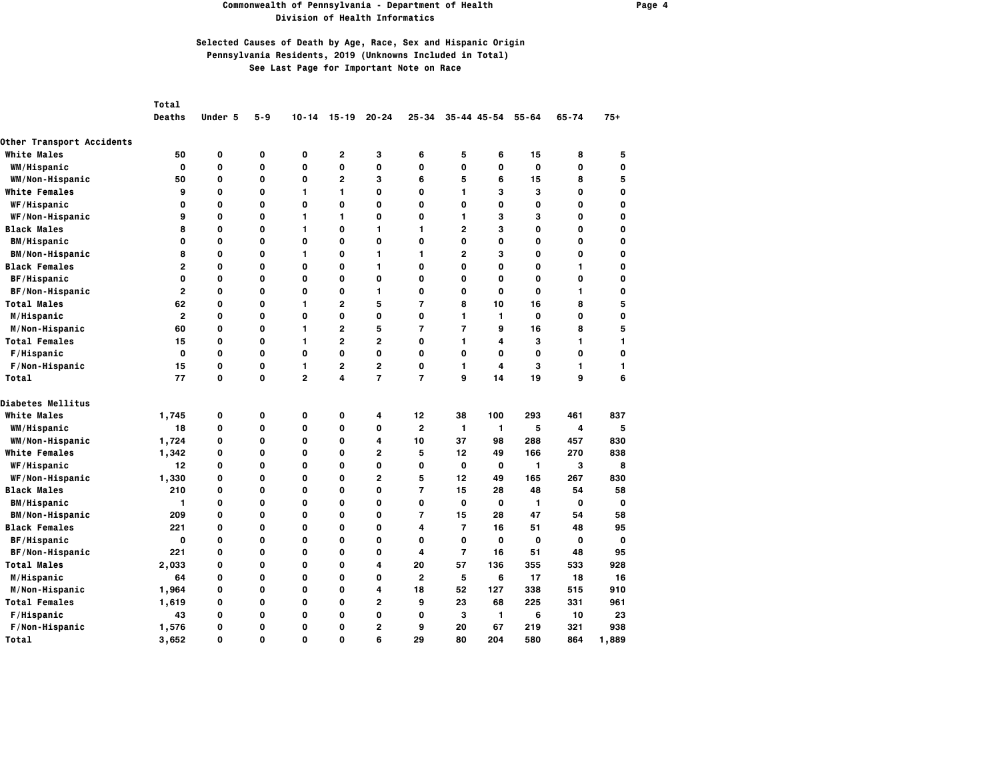#### **Commonwealth of Pennsylvania - Department of Health Page 4 Division of Health Informatics**

|                                  | <b>Total</b>   |         |             |                         |                         |                |                |                |              |           |           |             |
|----------------------------------|----------------|---------|-------------|-------------------------|-------------------------|----------------|----------------|----------------|--------------|-----------|-----------|-------------|
|                                  | <b>Deaths</b>  | Under 5 | $5 - 9$     | $10 - 14$               | $15 - 19$               | $20 - 24$      | $25 - 34$      |                | 35-44 45-54  | $55 - 64$ | $65 - 74$ | $75+$       |
| <b>Other Transport Accidents</b> |                |         |             |                         |                         |                |                |                |              |           |           |             |
| <b>White Males</b>               | 50             | 0       | 0           | 0                       | $\mathbf{2}$            | з              | 6              | 5              | 6            | 15        | 8         | 5           |
| <b>WM/Hispanic</b>               | $\Omega$       | O       | 0           | O                       | 0                       | 0              | 0              | O              | 0            | 0         | 0         | 0           |
| WM/Non-Hispanic                  | 50             | O       | 0           | O                       | $\overline{2}$          | 3              | 6              | 5              | 6            | 15        | 8         | 5           |
| <b>White Females</b>             | 9              | O       | 0           | $\mathbf{1}$            | 1                       | 0              | 0              | $\mathbf{1}$   | 3            | 3         | 0         | $\mathbf 0$ |
| WF/Hispanic                      | 0              | 0       | 0           | O                       | 0                       | 0              | 0              | 0              | 0            | 0         | 0         | 0           |
| WF/Non-Hispanic                  | 9              | 0       | 0           | $\mathbf{1}$            | 1                       | 0              | 0              | 1              | 3            | 3         | 0         | 0           |
| <b>Black Males</b>               | 8              | O       | 0           | 1                       | 0                       | 1              | 1              | $\mathbf{2}$   | 3            | 0         | 0         | 0           |
| <b>BM/Hispanic</b>               | 0              | 0       | 0           | 0                       | 0                       | 0              | 0              | 0              | 0            | 0         | 0         | 0           |
| <b>BM/Non-Hispanic</b>           | 8              | O       | 0           | $\mathbf{1}$            | 0                       | 1              | 1              | $\overline{2}$ | 3            | 0         | 0         | $\mathbf 0$ |
| <b>Black Females</b>             | $\mathbf{2}$   | 0       | 0           | 0                       | 0                       | 1              | 0              | 0              | 0            | 0         | 1         | 0           |
| <b>BF/Hispanic</b>               | 0              | 0       | 0           | 0                       | 0                       | 0              | 0              | 0              | 0            | 0         | 0         | 0           |
| BF/Non-Hispanic                  | $\overline{2}$ | 0       | 0           | $\mathbf 0$             | 0                       | 1              | 0              | O              | O            | 0         | 1         | 0           |
| <b>Total Males</b>               | 62             | O       | 0           | $\mathbf{1}$            | $\overline{2}$          | 5              | $\overline{7}$ | 8              | 10           | 16        | 8         | 5           |
| M/Hispanic                       | $\overline{2}$ | O       | 0           | $\mathbf 0$             | 0                       | 0              | O              | $\mathbf{1}$   | $\mathbf{1}$ | 0         | 0         | $\mathbf 0$ |
| M/Non-Hispanic                   | 60             | 0       | 0           | 1                       | $\overline{2}$          | 5              | 7              | $\overline{7}$ | 9            | 16        | 8         | 5           |
| <b>Total Females</b>             | 15             | 0       | 0           | 1                       | $\overline{2}$          | $\overline{2}$ | 0              | $\mathbf{1}$   | 4            | 3         | 1         | 1           |
| F/Hispanic                       | 0              | 0       | 0           | $\mathbf 0$             | 0                       | 0              | 0              | 0              | 0            | 0         | 0         | 0           |
| F/Non-Hispanic                   | 15             | 0       | 0           | $\mathbf{1}$            | $\overline{\mathbf{c}}$ | $\overline{2}$ | 0              | $\mathbf{1}$   | 4            | 3         | 1         | 1           |
| Total                            | 77             | O       | $\mathbf 0$ | $\overline{\mathbf{c}}$ | 4                       | $\overline{7}$ | $\overline{7}$ | 9              | 14           | 19        | 9         | 6           |
| Diabetes Mellitus                |                |         |             |                         |                         |                |                |                |              |           |           |             |
| <b>White Males</b>               | 1,745          | 0       | 0           | 0                       | 0                       | 4              | 12             | 38             | 100          | 293       | 461       | 837         |
| WM/Hispanic                      | 18             | 0       | 0           | 0                       | 0                       | 0              | 2              | 1              | $\mathbf{1}$ | 5         | 4         | 5           |
| WM/Non-Hispanic                  | 1,724          | O       | 0           | O                       | O                       | 4              | 10             | 37             | 98           | 288       | 457       | 830         |
| <b>White Females</b>             | 1,342          | 0       | O           | 0                       | 0                       | $\overline{2}$ | 5              | 12             | 49           | 166       | 270       | 838         |
| WF/Hispanic                      | 12             | O       | 0           | O                       | 0                       | 0              | 0              | 0              | 0            | 1         | 3         | 8           |
| WF/Non-Hispanic                  | 1,330          | 0       | 0           | 0                       | 0                       | $\mathbf{2}$   | 5              | 12             | 49           | 165       | 267       | 830         |
| <b>Black Males</b>               | 210            | 0       | 0           | 0                       | 0                       | 0              | $\overline{7}$ | 15             | 28           | 48        | 54        | 58          |
| <b>BM/Hispanic</b>               | 1              | 0       | 0           | 0                       | 0                       | 0              | 0              | 0              | 0            | 1         | 0         | 0           |
| <b>BM/Non-Hispanic</b>           | 209            | 0       | 0           | 0                       | 0                       | 0              | 7              | 15             | 28           | 47        | 54        | 58          |
| <b>Black Females</b>             | 221            | 0       | 0           | O                       | 0                       | 0              | 4              | $\overline{7}$ | 16           | 51        | 48        | 95          |
| BF/Hispanic                      | 0              | 0       | 0           | 0                       | 0                       | 0              | 0              | O              | 0            | 0         | 0         | 0           |
| BF/Non-Hispanic                  | 221            | 0       | 0           | 0                       | 0                       | 0              | 4              | $\overline{7}$ | 16           | 51        | 48        | 95          |
| <b>Total Males</b>               | 2,033          | 0       | 0           | $\mathbf 0$             | 0                       | 4              | 20             | 57             | 136          | 355       | 533       | 928         |
| M/Hispanic                       | 64             | 0       | 0           | $\mathbf 0$             | 0                       | 0              | 2              | 5              | 6            | 17        | 18        | 16          |
| M/Non-Hispanic                   | 1,964          | O       | 0           | O                       | 0                       | 4              | 18             | 52             | 127          | 338       | 515       | 910         |
| <b>Total Females</b>             | 1,619          | 0       | 0           | $\mathbf 0$             | 0                       | $\overline{2}$ | 9              | 23             | 68           | 225       | 331       | 961         |
| F/Hispanic                       | 43             | 0       | 0           | $\mathbf 0$             | 0                       | 0              | 0              | з              | 1            | 6         | 10        | 23          |
| F/Non-Hispanic                   | 1,576          | 0       | 0           | $\mathbf 0$             | 0                       | $\overline{2}$ | 9              | 20             | 67           | 219       | 321       | 938         |
| Total                            | 3,652          | O       | O           | $\Omega$                | 0                       | 6              | 29             | 80             | 204          | 580       | 864       | 1,889       |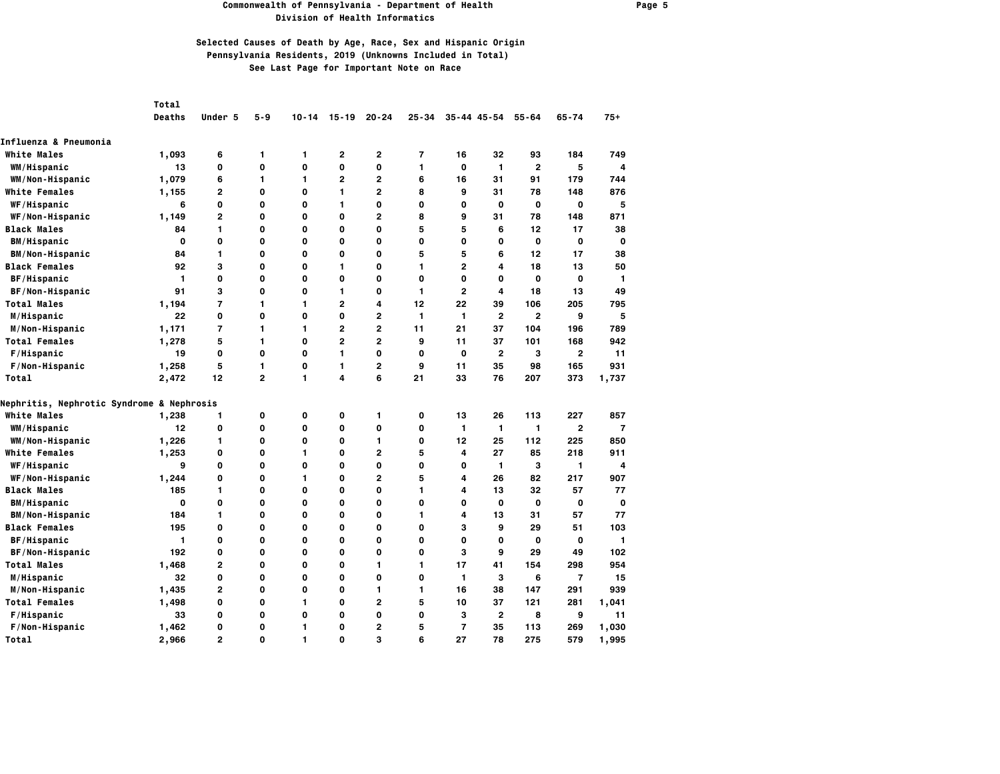### **Commonwealth of Pennsylvania - Department of Health Page 5 Division of Health Informatics**

|                                           | Total         |                |                |           |                |                |           |              |                     |                |                |                |
|-------------------------------------------|---------------|----------------|----------------|-----------|----------------|----------------|-----------|--------------|---------------------|----------------|----------------|----------------|
|                                           | <b>Deaths</b> | Under 5        | $5 - 9$        | $10 - 14$ | $15 - 19$      | $20 - 24$      | $25 - 34$ |              | $35 - 44$ $45 - 54$ | $55 - 64$      | $65 - 74$      | $75+$          |
| Influenza & Pneumonia                     |               |                |                |           |                |                |           |              |                     |                |                |                |
| <b>White Males</b>                        | 1,093         | 6              | 1              | 1         | 2              | 2              | 7         | 16           | 32                  | 93             | 184            | 749            |
| WM/Hispanic                               | 13            | O              | $\mathbf{o}$   | 0         | 0              | 0              | 1         | 0            | $\mathbf{1}$        | $\overline{2}$ | 5              | $\overline{4}$ |
| WM/Non-Hispanic                           | 1,079         | 6              | 1              | 1         | $\overline{2}$ | $\overline{2}$ | 6         | 16           | 31                  | 91             | 179            | 744            |
| <b>White Females</b>                      | 1,155         | 2              | 0              | 0         | 1              | $\overline{2}$ | 8         | 9            | 31                  | 78             | 148            | 876            |
| WF/Hispanic                               | 6             | O              | 0              | 0         | 1              | O              | 0         | 0            | 0                   | 0              | 0              | 5              |
| WF/Non-Hispanic                           | 1,149         | $\overline{2}$ | 0              | 0         | 0              | $\overline{2}$ | 8         | 9            | 31                  | 78             | 148            | 871            |
| <b>Black Males</b>                        | 84            | 1              | 0              | 0         | $\mathbf 0$    | O              | 5         | 5            | 6                   | 12             | 17             | 38             |
| <b>BM/Hispanic</b>                        | 0             | O              | 0              | 0         | O              | O              | 0         | 0            | 0                   | 0              | O              | $\mathbf 0$    |
| <b>BM/Non-Hispanic</b>                    | 84            | 1              | 0              | 0         | 0              | 0              | 5         | 5            | 6                   | 12             | 17             | 38             |
| <b>Black Females</b>                      | 92            | 3              | 0              | 0         | 1              | $\mathbf 0$    | 1         | $\mathbf{2}$ | 4                   | 18             | 13             | 50             |
| BF/Hispanic                               | 1             | 0              | 0              | 0         | $\mathbf 0$    | 0              | O         | 0            | 0                   | O              | $\mathbf 0$    | 1              |
| BF/Non-Hispanic                           | 91            | 3              | 0              | 0         | 1              | $\mathbf 0$    | 1         | $\mathbf{2}$ | 4                   | 18             | 13             | 49             |
| <b>Total Males</b>                        | 1,194         | $\overline{7}$ | 1              | 1         | $\overline{2}$ | 4              | 12        | 22           | 39                  | 106            | 205            | 795            |
| M/Hispanic                                | 22            | $\mathbf 0$    | 0              | 0         | 0              | $\overline{2}$ | 1         | 1            | $\overline{2}$      | $\mathbf{2}$   | 9              | 5              |
| M/Non-Hispanic                            | 1,171         | 7              | 1              | 1         | 2              | $\overline{2}$ | 11        | 21           | 37                  | 104            | 196            | 789            |
| <b>Total Females</b>                      | 1,278         | 5              | 1              | 0         | $\overline{2}$ | $\overline{2}$ | 9         | 11           | 37                  | 101            | 168            | 942            |
| F/Hispanic                                | 19            | $\mathbf 0$    | 0              | 0         | 1              | O              | 0         | 0            | $\overline{2}$      | з              | $\mathbf{2}$   | 11             |
| F/Non-Hispanic                            | 1,258         | 5              | 1              | 0         | 1              | $\overline{2}$ | 9         | 11           | 35                  | 98             | 165            | 931            |
| Total                                     | 2,472         | 12             | $\overline{2}$ | 1         | 4              | 6              | 21        | 33           | 76                  | 207            | 373            | 1,737          |
| Nephritis, Nephrotic Syndrome & Nephrosis |               |                |                |           |                |                |           |              |                     |                |                |                |
| <b>White Males</b>                        | 1,238         | 1              | 0              | 0         | 0              | 1              | 0         | 13           | 26                  | 113            | 227            | 857            |
| WM/Hispanic                               | 12            | $\mathbf 0$    | 0              | 0         | 0              | O              | 0         | $\mathbf{1}$ | 1                   | $\mathbf{1}$   | $\mathbf{2}$   | $\overline{7}$ |
| WM/Non-Hispanic                           | 1,226         | 1              | 0              | 0         | $\mathbf 0$    | 1              | 0         | 12           | 25                  | 112            | 225            | 850            |
| <b>White Females</b>                      | 1,253         | 0              | 0              | 1         | $\mathbf 0$    | $\overline{2}$ | 5         | 4            | 27                  | 85             | 218            | 911            |
| WF/Hispanic                               | 9             | 0              | 0              | 0         | 0              | O              | 0         | 0            | $\mathbf{1}$        | 3              | 1              | 4              |
| WF/Non-Hispanic                           | 1,244         | 0              | $\mathbf{o}$   | 1         | O              | $\overline{2}$ | 5         | 4            | 26                  | 82             | 217            | 907            |
| <b>Black Males</b>                        | 185           | 1              | 0              | 0         | 0              | $\mathbf 0$    | 1         | 4            | 13                  | 32             | 57             | 77             |
| <b>BM/Hispanic</b>                        | $\mathbf 0$   | 0              | 0              | 0         | $\mathbf 0$    | 0              | 0         | 0            | O                   | O              | O              | $\mathbf{o}$   |
| <b>BM/Non-Hispanic</b>                    | 184           | 1              | 0              | 0         | 0              | 0              | 1         | 4            | 13                  | 31             | 57             | 77             |
| <b>Black Females</b>                      | 195           | $\mathbf 0$    | 0              | 0         | 0              | O              | 0         | 3            | 9                   | 29             | 51             | 103            |
| BF/Hispanic                               | 1             | O              | 0              | 0         | 0              | 0              | 0         | 0            | 0                   | 0              | 0              | 1              |
| BF/Non-Hispanic                           | 192           | O              | 0              | 0         | O              | $\mathbf 0$    | 0         | 3            | 9                   | 29             | 49             | 102            |
| <b>Total Males</b>                        | 1,468         | 2              | 0              | 0         | 0              | 1              | 1         | 17           | 41                  | 154            | 298            | 954            |
| M/Hispanic                                | 32            | O              | 0              | 0         | $\mathbf 0$    | $\mathbf 0$    | 0         | 1            | 3                   | 6              | $\overline{7}$ | 15             |
| M/Non-Hispanic                            | 1,435         | 2              | 0              | 0         | 0              | 1              | 1         | 16           | 38                  | 147            | 291            | 939            |
| <b>Total Females</b>                      | 1,498         | O              | 0              | 1         | $\mathbf 0$    | $\overline{2}$ | 5         | 10           | 37                  | 121            | 281            | 1,041          |
| F/Hispanic                                | 33            | 0              | 0              | 0         | 0              | O              | 0         | з            | $\overline{2}$      | 8              | 9              | 11             |
| F/Non-Hispanic                            | 1,462         | 0              | 0              | 1         | O              | $\mathbf{2}$   | 5         | 7            | 35                  | 113            | 269            | 1,030          |
| Total                                     | 2,966         | $\overline{2}$ | $\Omega$       | 1         | $\Omega$       | 3              | 6         | 27           | 78                  | 275            | 579            | 1,995          |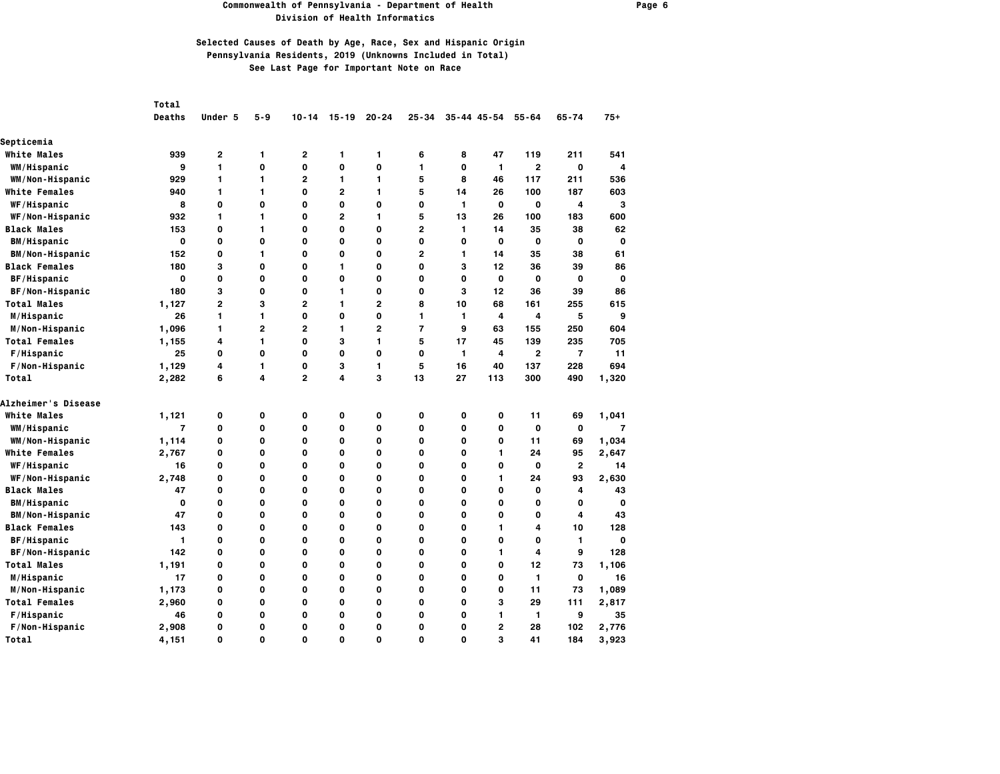### **Commonwealth of Pennsylvania - Department of Health Page 6 Division of Health Informatics**

|                        | Total          |              |                |                         |                |                |                |              |                 |                |                |                |
|------------------------|----------------|--------------|----------------|-------------------------|----------------|----------------|----------------|--------------|-----------------|----------------|----------------|----------------|
|                        | Deaths         | Under 5      | $5 - 9$        | $10 - 14$               | $15 - 19$      | $20 - 24$      | $25 - 34$      |              | $35 - 44$ 45-54 | $55 - 64$      | $65 - 74$      | $75+$          |
| Septicemia             |                |              |                |                         |                |                |                |              |                 |                |                |                |
| <b>White Males</b>     | 939            | 2            | 1              | 2                       | 1              | 1              | 6              | 8            | 47              | 119            | 211            | 541            |
| WM/Hispanic            | 9              | 1            | 0              | O                       | 0              | 0              | 1              | O            | $\mathbf{1}$    | $\overline{2}$ | $\mathbf o$    | $\overline{4}$ |
| WM/Non-Hispanic        | 929            | 1            | 1              | $\overline{2}$          | 1              | 1              | 5              | 8            | 46              | 117            | 211            | 536            |
| <b>White Females</b>   | 940            | 1            | 1              | $\Omega$                | $\overline{2}$ | 1              | 5              | 14           | 26              | 100            | 187            | 603            |
| WF/Hispanic            | 8              | 0            | O              | 0                       | 0              | 0              | 0              | 1            | 0               | 0              | 4              | 3              |
| WF/Non-Hispanic        | 932            | 1            | 1              | $\mathbf 0$             | $\overline{2}$ | 1              | 5              | 13           | 26              | 100            | 183            | 600            |
| Black Males            | 153            | 0            | 1              | O                       | O              | 0              | $\overline{2}$ | $\mathbf{1}$ | 14              | 35             | 38             | 62             |
| <b>BM/Hispanic</b>     | 0              | 0            | O              | 0                       | 0              | 0              | O              | O            | 0               | 0              | 0              | O              |
| <b>BM/Non-Hispanic</b> | 152            | 0            | 1              | 0                       | 0              | 0              | $\mathbf{2}$   | $\mathbf{1}$ | 14              | 35             | 38             | 61             |
| <b>Black Females</b>   | 180            | 3            | 0              | O                       | 1              | $\mathbf 0$    | 0              | 3            | 12              | 36             | 39             | 86             |
| <b>BF/Hispanic</b>     | $\mathbf{o}$   | 0            | O              | O                       | $\mathbf 0$    | 0              | O              | $\mathbf 0$  | 0               | 0              | 0              | 0              |
| BF/Non-Hispanic        | 180            | 3            | O              | 0                       | 1              | 0              | O              | 3            | 12              | 36             | 39             | 86             |
| <b>Total Males</b>     | 1,127          | $\mathbf{2}$ | 3              | $\overline{2}$          | 1              | $\overline{2}$ | 8              | 10           | 68              | 161            | 255            | 615            |
| M/Hispanic             | 26             | 1            | 1              | $\mathbf 0$             | 0              | 0              | 1              | 1            | 4               | 4              | 5              | 9              |
| M/Non-Hispanic         | 1,096          | 1            | $\overline{2}$ | $\overline{\mathbf{c}}$ | 1              | 2              | $\overline{7}$ | 9            | 63              | 155            | 250            | 604            |
| <b>Total Females</b>   | 1,155          | 4            | 1              | O                       | 3              | 1              | 5              | 17           | 45              | 139            | 235            | 705            |
| F/Hispanic             | 25             | 0            | 0              | 0                       | 0              | 0              | 0              | 1            | 4               | $\mathbf{2}$   | $\overline{7}$ | 11             |
| F/Non-Hispanic         | 1,129          | 4            | 1              | 0                       | з              | 1              | 5              | 16           | 40              | 137            | 228            | 694            |
| Total                  | 2,282          | 6            | 4              | $\overline{\mathbf{c}}$ | 4              | 3              | 13             | 27           | 113             | 300            | 490            | 1,320          |
| Alzheimer's Disease    |                |              |                |                         |                |                |                |              |                 |                |                |                |
| <b>White Males</b>     | 1,121          | 0            | 0              | 0                       | 0              | 0              | 0              | 0            | 0               | 11             | 69             | 1,041          |
| WM/Hispanic            | $\overline{7}$ | 0            | 0              | $\mathbf 0$             | 0              | 0              | 0              | $\mathbf 0$  | 0               | 0              | $\mathbf o$    | $\overline{7}$ |
| WM/Non-Hispanic        | 1,114          | 0            | O              | O                       | O              | 0              | 0              | O            | 0               | 11             | 69             | 1,034          |
| <b>White Females</b>   | 2,767          | 0            | 0              | 0                       | 0              | O              | 0              | 0            | 1               | 24             | 95             | 2,647          |
| WF/Hispanic            | 16             | 0            | 0              | 0                       | 0              | 0              | 0              | 0            | 0               | 0              | $\overline{2}$ | 14             |
| WF/Non-Hispanic        | 2,748          | 0            | 0              | $\mathbf 0$             | 0              | 0              | $\mathbf 0$    | $\mathbf 0$  | $\mathbf{1}$    | 24             | 93             | 2,630          |
| <b>Black Males</b>     | 47             | 0            | 0              | $\mathbf 0$             | 0              | 0              | 0              | O            | 0               | 0              | 4              | 43             |
| <b>BM/Hispanic</b>     | $\mathbf{o}$   | 0            | O              | O                       | O              | 0              | O              | $\mathbf 0$  | 0               | 0              | 0              | $\mathbf 0$    |
| <b>BM/Non-Hispanic</b> | 47             | 0            | 0              | 0                       | 0              | 0              | 0              | 0            | 0               | 0              | 4              | 43             |
| <b>Black Females</b>   | 143            | 0            | 0              | $\mathbf 0$             | 0              | 0              | 0              | $\mathbf 0$  | 1               | 4              | 10             | 128            |
| <b>BF/Hispanic</b>     | 1              | 0            | 0              | 0                       | 0              | 0              | 0              | $\mathbf 0$  | 0               | 0              | 1              | 0              |
| BF/Non-Hispanic        | 142            | 0            | 0              | 0                       | 0              | 0              | 0              | 0            | 1               | 4              | 9              | 128            |
| <b>Total Males</b>     | 1,191          | 0            | 0              | 0                       | 0              | 0              | 0              | 0            | 0               | 12             | 73             | 1,106          |
| M/Hispanic             | 17             | 0            | 0              | 0                       | 0              | 0              | 0              | 0            | 0               | 1              | $\mathbf o$    | 16             |
| M/Non-Hispanic         | 1,173          | 0            | 0              | O                       | 0              | 0              | 0              | O            | 0               | 11             | 73             | 1,089          |
| <b>Total Females</b>   | 2,960          | 0            | O              | O                       | O              | 0              | O              | O            | 3               | 29             | 111            | 2,817          |
| F/Hispanic             | 46             | 0            | 0              | 0                       | 0              | 0              | 0              | 0            | 1               | 1              | 9              | 35             |
| F/Non-Hispanic         | 2,908          | 0            | 0              | 0                       | 0              | 0              | 0              | 0            | $\mathbf{2}$    | 28             | 102            | 2,776          |
| Total                  | 4,151          | $\Omega$     | 0              | $\Omega$                | 0              | $\Omega$       | $\Omega$       | $\Omega$     | 3               | 41             | 184            | 3,923          |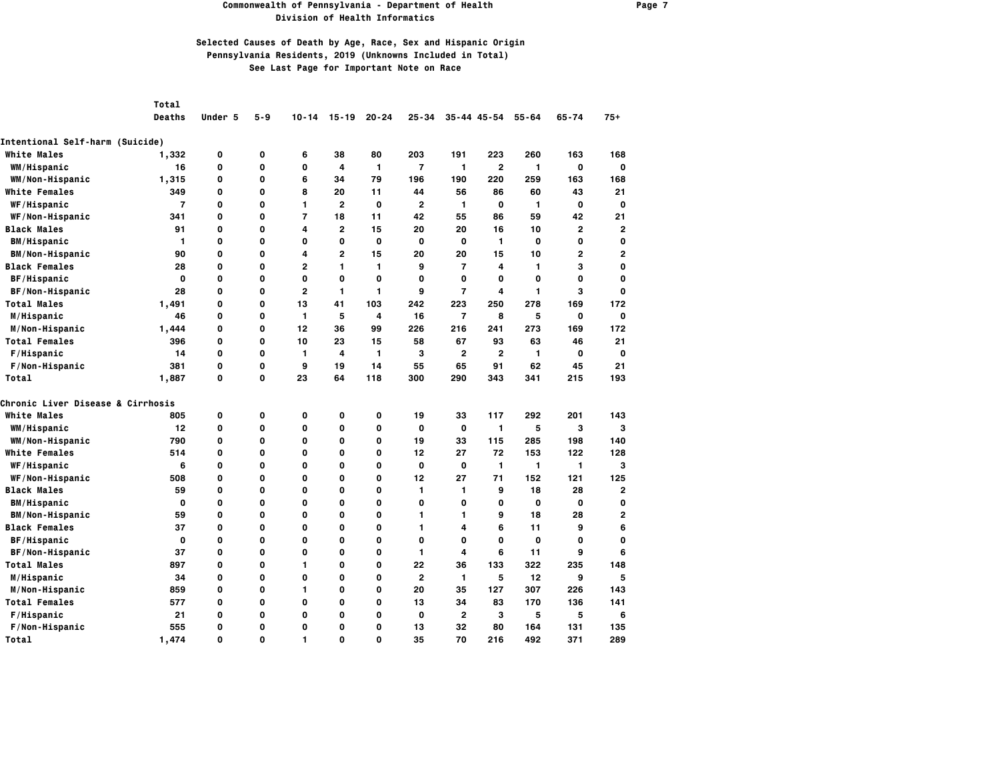#### **Commonwealth of Pennsylvania - Department of Health Page 7 Division of Health Informatics**

## **Selected Causes of Death by Age, Race, Sex and Hispanic Origin Pennsylvania Residents, 2019 (Unknowns Included in Total) See Last Page for Important Note on Race**

*Total* 

 **Deaths Under 5 5-9 10-14 15-19 20-24 25-34 35-44 45-54 55-64 65-74 75+**

| Intentional Self-harm (Suicide)   |                |   |              |                |                |                |                |                |                |             |              |                |
|-----------------------------------|----------------|---|--------------|----------------|----------------|----------------|----------------|----------------|----------------|-------------|--------------|----------------|
| <b>White Males</b>                | 1,332          | 0 | 0            | 6              | 38             | 80             | 203            | 191            | 223            | 260         | 163          | 168            |
| WM/Hispanic                       | 16             | 0 | $\mathbf{o}$ | 0              | 4              | 1              | $\overline{7}$ | $\mathbf{1}$   | $\overline{2}$ | 1           | 0            | 0              |
| WM/Non-Hispanic                   | 1,315          | 0 | $\mathbf{o}$ | 6              | 34             | 79             | 196            | 190            | 220            | 259         | 163          | 168            |
| <b>White Females</b>              | 349            | 0 | $\mathbf{o}$ | 8              | 20             | 11             | 44             | 56             | 86             | 60          | 43           | 21             |
| WF/Hispanic                       | $\overline{7}$ | 0 | 0            | 1              | $\overline{2}$ | $\mathbf 0$    | $\overline{2}$ | 1              | 0              | 1           | 0            | 0              |
| WF/Non-Hispanic                   | 341            | 0 | $\mathbf{o}$ | $\overline{7}$ | 18             | 11             | 42             | 55             | 86             | 59          | 42           | 21             |
| <b>Black Males</b>                | 91             | 0 | $\mathbf{o}$ | 4              | $\overline{2}$ | 15             | 20             | 20             | 16             | 10          | 2            | $\overline{2}$ |
| <b>BM/Hispanic</b>                | $\mathbf{1}$   | 0 | $\mathbf 0$  | 0              | 0              | 0              | 0              | 0              | $\mathbf{1}$   | $\mathbf 0$ | 0            | 0              |
| <b>BM/Non-Hispanic</b>            | 90             | 0 | $\mathbf{o}$ | 4              | $\overline{2}$ | 15             | 20             | 20             | 15             | 10          | $\mathbf{2}$ | 2              |
| <b>Black Females</b>              | 28             | 0 | $\mathbf{o}$ | 2              | 1              | 1              | 9              | $\overline{7}$ | 4              | 1           | 3            | 0              |
| BF/Hispanic                       | $\mathbf{o}$   | 0 | $\mathbf{o}$ | 0              | $\mathbf 0$    | $\mathbf 0$    | 0              | $\mathbf 0$    | O              | 0           | 0            | 0              |
| BF/Non-Hispanic                   | 28             | 0 | $\mathbf{o}$ | $\overline{2}$ | 1              | 1              | 9              | $\overline{7}$ | 4              | 1           | з            | 0              |
| <b>Total Males</b>                | 1,491          | 0 | $\mathbf{o}$ | 13             | 41             | 103            | 242            | 223            | 250            | 278         | 169          | 172            |
| M/Hispanic                        | 46             | 0 | $\mathbf{o}$ | 1              | 5              | $\overline{4}$ | 16             | $\overline{7}$ | 8              | 5           | 0            | 0              |
| M/Non-Hispanic                    | 1,444          | 0 | $\mathbf{o}$ | 12             | 36             | 99             | 226            | 216            | 241            | 273         | 169          | 172            |
| <b>Total Females</b>              | 396            | 0 | $\mathbf{o}$ | 10             | 23             | 15             | 58             | 67             | 93             | 63          | 46           | 21             |
| F/Hispanic                        | 14             | 0 | $\mathbf 0$  | 1              | 4              | 1              | 3              | $\mathbf{2}$   | $\overline{2}$ | 1           | 0            | 0              |
| F/Non-Hispanic                    | 381            | 0 | $\mathbf{o}$ | 9              | 19             | 14             | 55             | 65             | 91             | 62          | 45           | 21             |
| Total                             | 1,887          | 0 | $\mathbf{o}$ | 23             | 64             | 118            | 300            | 290            | 343            | 341         | 215          | 193            |
| Chronic Liver Disease & Cirrhosis |                |   |              |                |                |                |                |                |                |             |              |                |
| <b>White Males</b>                | 805            | 0 | 0            | 0              | 0              | 0              | 19             | 33             | 117            | 292         | 201          | 143            |
| WM/Hispanic                       | 12             | 0 | $\mathbf{o}$ | 0              | O              | 0              | $\mathbf{o}$   | $\mathbf 0$    | $\mathbf{1}$   | 5           | 3            | 3              |
| WM/Non-Hispanic                   | 790            | 0 | 0            | 0              | $\mathbf 0$    | 0              | 19             | 33             | 115            | 285         | 198          | 140            |
| <b>White Females</b>              | 514            | 0 | $\mathbf{o}$ | 0              | 0              | $\mathbf 0$    | 12             | 27             | 72             | 153         | 122          | 128            |
| WF/Hispanic                       | 6              | 0 | $\mathbf{o}$ | 0              | 0              | 0              | 0              | 0              | $\mathbf{1}$   | 1           | 1            | 3              |
| WF/Non-Hispanic                   | 508            | 0 | 0            | 0              | O              | O              | 12             | 27             | 71             | 152         | 121          | 125            |
| <b>Black Males</b>                | 59             | 0 | 0            | 0              | 0              | O              | 1              | 1              | 9              | 18          | 28           | 2              |
| <b>BM/Hispanic</b>                | $\mathbf{o}$   | 0 | $\mathbf{o}$ | 0              | 0              | 0              | 0              | 0              | O              | 0           | O            | 0              |
| <b>BM/Non-Hispanic</b>            | 59             | 0 | 0            | 0              | 0              | $\mathbf 0$    | 1              | 1              | 9              | 18          | 28           | 2              |
| <b>Black Females</b>              | 37             | 0 | 0            | 0              | 0              | O              | 1              | 4              | 6              | 11          | 9            | 6              |
| BF/Hispanic                       | 0              | 0 | 0            | 0              | 0              | 0              | 0              | 0              | 0              | 0           | 0            | 0              |
| BF/Non-Hispanic                   | 37             | 0 | $\mathbf{o}$ | 0              | $\mathbf 0$    | 0              | 1              | 4              | 6              | 11          | 9            | 6              |
| <b>Total Males</b>                | 897            | 0 | 0            | 1              | 0              | 0              | 22             | 36             | 133            | 322         | 235          | 148            |
| M/Hispanic                        | 34             | 0 | 0            | 0              | 0              | 0              | 2              | $\mathbf{1}$   | 5              | 12          | 9            | 5              |
| M/Non-Hispanic                    | 859            | 0 | 0            | 1              | 0              | O              | 20             | 35             | 127            | 307         | 226          | 143            |
| <b>Total Females</b>              | 577            | 0 | $\mathbf{o}$ | 0              | 0              | $\mathbf 0$    | 13             | 34             | 83             | 170         | 136          | 141            |
| F/Hispanic                        | 21             | 0 | $\mathbf{o}$ | 0              | 0              | 0              | 0              | $\mathbf{2}$   | 3              | 5           | 5            | 6              |
| F/Non-Hispanic                    | 555            | 0 | 0            | 0              | 0              | O              | 13             | 32             | 80             | 164         | 131          | 135            |
| Total                             | 1.474          | 0 | $\Omega$     | 1              | O              | $\Omega$       | 35             | 70             | 216            | 492         | 371          | 289            |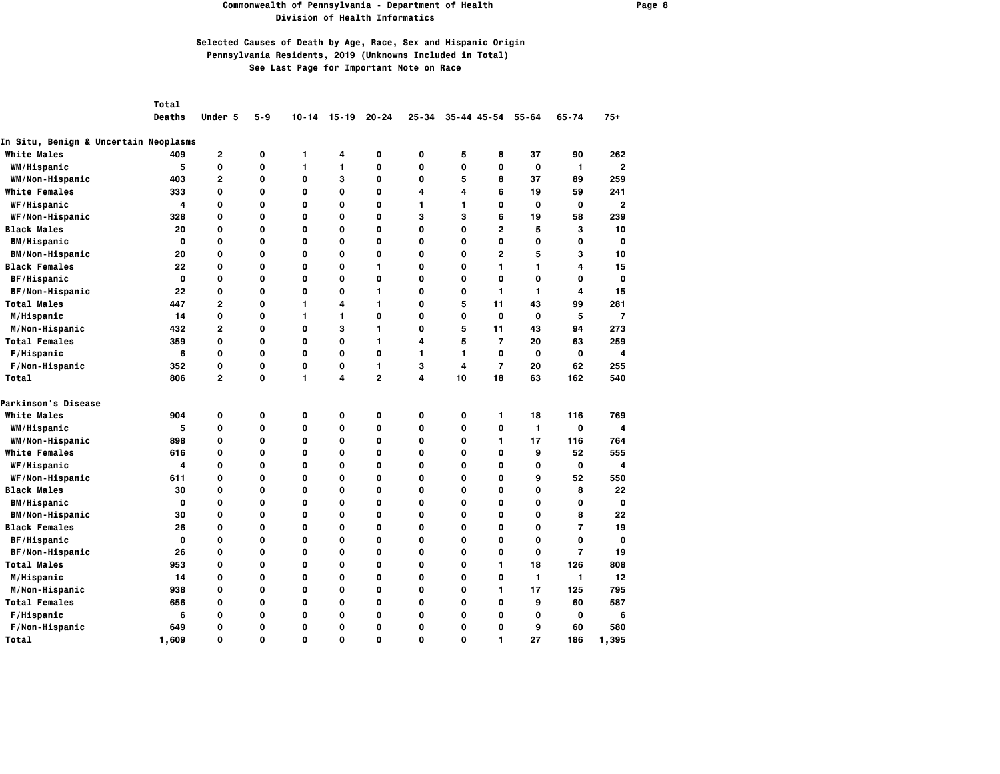### **Commonwealth of Pennsylvania - Department of Health Page 8 Division of Health Informatics**

## **Selected Causes of Death by Age, Race, Sex and Hispanic Origin Pennsylvania Residents, 2019 (Unknowns Included in Total) See Last Page for Important Note on Race**

*Total* 

 **Deaths Under 5 5-9 10-14 15-19 20-24 25-34 35-44 45-54 55-64 65-74 75+**

| In Situ, Benign & Uncertain Neoplasms |       |                |             |   |              |              |    |    |                |              |                |                |
|---------------------------------------|-------|----------------|-------------|---|--------------|--------------|----|----|----------------|--------------|----------------|----------------|
| <b>White Males</b>                    | 409   | 2              | 0           | 1 | 4            | 0            | 0  | 5  | 8              | 37           | 90             | 262            |
| WM/Hispanic                           | 5     | 0              | 0           | 1 | 1            | $\mathbf 0$  | 0  | 0  | 0              | $\mathbf 0$  | $\mathbf{1}$   | $\overline{2}$ |
| WM/Non-Hispanic                       | 403   | 2              | 0           | 0 | 3            | 0            | 0  | 5  | 8              | 37           | 89             | 259            |
| <b>White Females</b>                  | 333   | 0              | 0           | 0 | O            | 0            | 4  | 4  | 6              | 19           | 59             | 241            |
| WF/Hispanic                           | 4     | 0              | 0           | 0 | 0            | O            | 1  | 1  | 0              | 0            | 0              | 2              |
| WF/Non-Hispanic                       | 328   | 0              | 0           | 0 | $\mathbf{o}$ | O            | 3  | 3  | 6              | 19           | 58             | 239            |
| <b>Black Males</b>                    | 20    | 0              | $\mathbf 0$ | 0 | O            | O            | 0  | 0  | 2              | 5            | З              | 10             |
| <b>BM/Hispanic</b>                    | O     | 0              | 0           | 0 | 0            | O            | 0  | 0  | 0              | 0            | 0              | 0              |
| <b>BM/Non-Hispanic</b>                | 20    | 0              | 0           | 0 | 0            | 0            | 0  | 0  | 2              | 5            | з              | 10             |
| <b>Black Females</b>                  | 22    | 0              | $\mathbf 0$ | 0 | 0            | 1            | 0  | 0  | 1              | 1            | 4              | 15             |
| BF/Hispanic                           | 0     | 0              | 0           | 0 | 0            | O            | 0  | 0  | 0              | 0            | 0              | 0              |
| BF/Non-Hispanic                       | 22    | 0              | 0           | 0 | 0            | 1            | 0  | 0  | $\mathbf{1}$   | 1            | 4              | 15             |
| <b>Total Males</b>                    | 447   | $\overline{2}$ | $\mathbf 0$ | 1 | 4            | $\mathbf{1}$ | 0  | 5  | 11             | 43           | 99             | 281            |
| M/Hispanic                            | 14    | 0              | $\mathbf 0$ | 1 | 1            | O            | 0  | 0  | O              | $\mathbf 0$  | 5              | 7              |
| M/Non-Hispanic                        | 432   | $\overline{2}$ | 0           | 0 | 3            | 1            | 0  | 5  | 11             | 43           | 94             | 273            |
| <b>Total Females</b>                  | 359   | 0              | $\mathbf 0$ | 0 | 0            | $\mathbf{1}$ | 4  | 5  | $\overline{7}$ | 20           | 63             | 259            |
| F/Hispanic                            | 6     | 0              | $\mathbf 0$ | 0 | $\mathbf{o}$ | O            | 1. | 1  | O              | 0            | 0              | 4              |
| F/Non-Hispanic                        | 352   | 0              | 0           | 0 | 0            | 1            | 3  | 4  | $\overline{7}$ | 20           | 62             | 255            |
| Total                                 | 806   | $\overline{2}$ | $\mathbf 0$ | 1 | 4            | $\mathbf{2}$ | 4  | 10 | 18             | 63           | 162            | 540            |
| Parkinson's Disease                   |       |                |             |   |              |              |    |    |                |              |                |                |
| <b>White Males</b>                    | 904   | 0              | 0           | 0 | 0            | 0            | 0  | 0  | 1              | 18           | 116            | 769            |
| WM/Hispanic                           | 5     | 0              | 0           | 0 | $\mathbf{o}$ | 0            | 0  | 0  | O              | $\mathbf{1}$ | 0              | 4              |
| WM/Non-Hispanic                       | 898   | 0              | 0           | 0 | $\mathbf{o}$ | 0            | 0  | 0  | 1              | 17           | 116            | 764            |
| <b>White Females</b>                  | 616   | 0              | $\mathbf 0$ | 0 | $\mathbf{o}$ | O            | 0  | 0  | 0              | 9            | 52             | 555            |
| WF/Hispanic                           | 4     | 0              | $\mathbf 0$ | 0 | O            | O            | 0  | 0  | 0              | 0            | 0              | 4              |
| WF/Non-Hispanic                       | 611   | 0              | $\mathbf 0$ | 0 | O            | O            | 0  | 0  | 0              | 9            | 52             | 550            |
| <b>Black Males</b>                    | 30    | 0              | 0           | 0 | $\mathbf{o}$ | $\mathbf 0$  | 0  | 0  | 0              | 0            | 8              | 22             |
| <b>BM/Hispanic</b>                    | 0     | 0              | 0           | 0 | $\mathbf{o}$ | $\mathbf 0$  | 0  | 0  | 0              | 0            | 0              | 0              |
| <b>BM/Non-Hispanic</b>                | 30    | 0              | 0           | 0 | 0            | $\mathbf 0$  | 0  | 0  | 0              | 0            | 8              | 22             |
| <b>Black Females</b>                  | 26    | 0              | 0           | 0 | 0            | $\mathbf 0$  | 0  | 0  | 0              | 0            | $\overline{7}$ | 19             |
| BF/Hispanic                           | 0     | 0              | 0           | 0 | 0            | $\mathbf 0$  | 0  | 0  | 0              | 0            | 0              | 0              |
| BF/Non-Hispanic                       | 26    | 0              | 0           | 0 | O            | O            | 0  | 0  | 0              | 0            | $\overline{7}$ | 19             |
| <b>Total Males</b>                    | 953   | 0              | 0           | 0 | 0            | $\mathbf 0$  | 0  | 0  | 1              | 18           | 126            | 808            |
| M/Hispanic                            | 14    | 0              | 0           | 0 | $\mathbf{o}$ | 0            | 0  | 0  | $\mathbf o$    | 1            | $\mathbf{1}$   | 12             |
| M/Non-Hispanic                        | 938   | 0              | $\mathbf 0$ | 0 | $\mathbf{o}$ | O            | 0  | 0  | 1              | 17           | 125            | 795            |
| <b>Total Females</b>                  | 656   | 0              | 0           | 0 | $\mathbf{o}$ | $\mathbf 0$  | 0  | 0  | 0              | 9            | 60             | 587            |
| F/Hispanic                            | 6     | 0              | 0           | 0 | O            | O            | 0  | 0  | 0              | 0            | 0              | 6              |
| F/Non-Hispanic                        | 649   | 0              | $\mathbf 0$ | 0 | O            | O            | 0  | 0  | 0              | 9            | 60             | 580            |
| Total                                 | 1.609 | O              | $\Omega$    | 0 | 0            | $\Omega$     | O  | 0  | 1.             | 27           | 186            | 1,395          |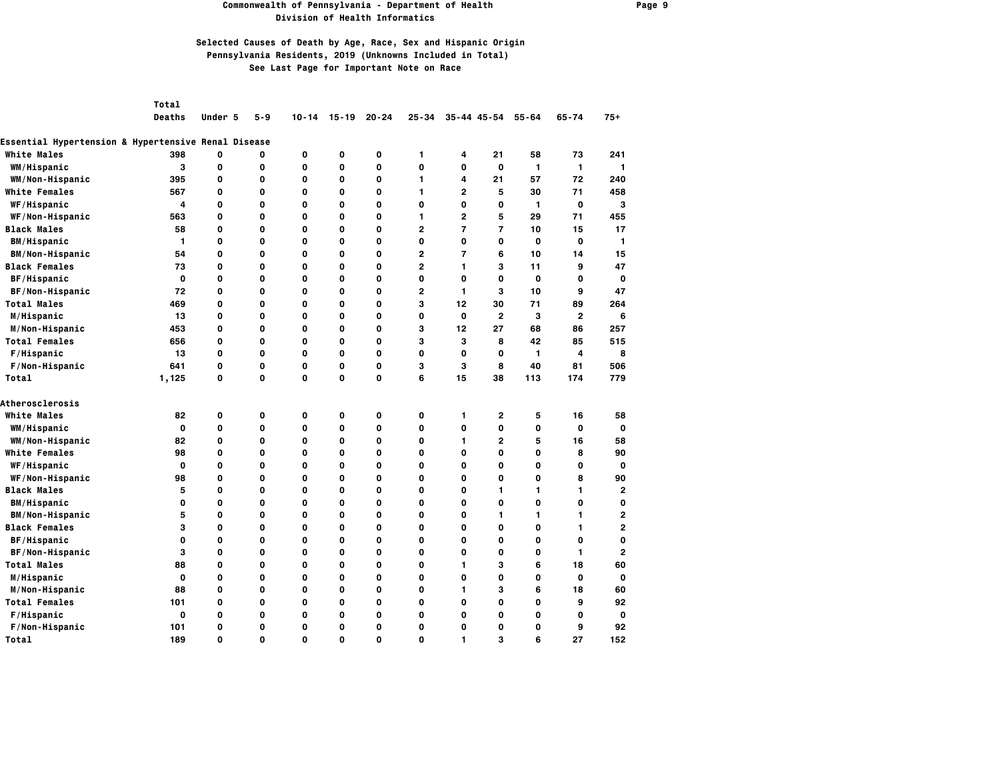### **Commonwealth of Pennsylvania - Department of Health Page 9 Division of Health Informatics**

## **Selected Causes of Death by Age, Race, Sex and Hispanic Origin Pennsylvania Residents, 2019 (Unknowns Included in Total) See Last Page for Important Note on Race**

*Total* 

 **Deaths Under 5 5-9 10-14 15-19 20-24 25-34 35-44 45-54 55-64 65-74 75+**

### **Essential Hypertension & Hypertensive Renal Disease**

| <b>White Males</b>     | 398          | 0 | 0           | 0 | 0           | 0           | 1              | 4              | 21             | 58          | 73           | 241            |
|------------------------|--------------|---|-------------|---|-------------|-------------|----------------|----------------|----------------|-------------|--------------|----------------|
| WM/Hispanic            | 3            | 0 | 0           | 0 | 0           | $\mathbf 0$ | 0              | 0              | $\mathbf{o}$   | 1           | $\mathbf{1}$ | 1              |
| WM/Non-Hispanic        | 395          | 0 | O           | 0 | 0           | O           | 1              | 4              | 21             | 57          | 72           | 240            |
| White Females          | 567          | 0 | $\mathbf 0$ | 0 | O           | O           | 1              | $\mathbf{2}$   | 5              | 30          | 71           | 458            |
| WF/Hispanic            | 4            | 0 | O           | 0 | 0           | 0           | 0              | 0              | 0              | 1           | $\mathbf o$  | 3              |
| WF/Non-Hispanic        | 563          | 0 | O           | 0 | O           | 0           | 1              | $\mathbf{2}$   | 5              | 29          | 71           | 455            |
| <b>Black Males</b>     | 58           | 0 | 0           | 0 | O           | 0           | $\overline{2}$ | $\overline{7}$ | $\overline{7}$ | 10          | 15           | 17             |
| <b>BM/Hispanic</b>     | $\mathbf{1}$ | 0 | 0           | 0 | 0           | 0           | 0              | 0              | 0              | 0           | 0            | 1              |
| <b>BM/Non-Hispanic</b> | 54           | 0 | 0           | 0 | O           | 0           | $\overline{2}$ | $\overline{7}$ | 6              | 10          | 14           | 15             |
| <b>Black Females</b>   | 73           | 0 | 0           | 0 | O           | 0           | $\mathbf{2}$   | 1.             | 3              | 11          | 9            | 47             |
| BF/Hispanic            | 0            | 0 | 0           | 0 | 0           | 0           | 0              | 0              | 0              | $\mathbf 0$ | 0            | 0              |
| BF/Non-Hispanic        | 72           | 0 | 0           | 0 | 0           | 0           | $\overline{2}$ | $\mathbf{1}$   | 3              | 10          | 9            | 47             |
| <b>Total Males</b>     | 469          | 0 | 0           | 0 | $\mathbf 0$ | 0           | 3              | 12             | 30             | 71          | 89           | 264            |
| M/Hispanic             | 13           | 0 | $\mathbf 0$ | 0 | $\mathbf 0$ | 0           | O              | 0              | $\overline{2}$ | 3           | $\mathbf{2}$ | 6              |
| M/Non-Hispanic         | 453          | 0 | 0           | 0 | 0           | 0           | з              | 12             | 27             | 68          | 86           | 257            |
| <b>Total Females</b>   | 656          | 0 | 0           | 0 | 0           | 0           | 3              | з              | 8              | 42          | 85           | 515            |
| F/Hispanic             | 13           | 0 | O           | 0 | O           | 0           | 0              | 0              | 0              | 1           | 4            | 8              |
| F/Non-Hispanic         | 641          | 0 | $\mathbf 0$ | 0 | O           | O           | з              | 3              | 8              | 40          | 81           | 506            |
| Total                  | 1,125        | 0 | O           | 0 | O           | O           | 6              | 15             | 38             | 113         | 174          | 779            |
| <b>Atherosclerosis</b> |              |   |             |   |             |             |                |                |                |             |              |                |
| <b>White Males</b>     | 82           | 0 | 0           | 0 | 0           | 0           | 0              | 1.             | 2              | 5           | 16           | 58             |
| WM/Hispanic            | 0            | 0 | O           | 0 | 0           | 0           | 0              | 0              | 0              | 0           | 0            | 0              |
| WM/Non-Hispanic        | 82           | 0 | O           | 0 | O           | $\Omega$    | 0              | 1.             | $\mathbf{2}$   | 5           | 16           | 58             |
| <b>White Females</b>   | 98           | 0 | 0           | 0 | O           | 0           | 0              | 0              | 0              | 0           | 8            | 90             |
| WF/Hispanic            | 0            | 0 | 0           | 0 | 0           | 0           | 0              | 0              | 0              | 0           | 0            | 0              |
| WF/Non-Hispanic        | 98           | 0 | 0           | 0 | 0           | 0           | 0              | 0              | 0              | 0           | 8            | 90             |
| <b>Black Males</b>     | 5            | 0 | 0           | 0 | $\mathbf 0$ | 0           | 0              | 0              | 1              | 1           | 1            | $\overline{2}$ |
| <b>BM/Hispanic</b>     | 0            | 0 | 0           | 0 | O           | 0           | 0              | 0              | 0              | 0           | 0            | 0              |
| <b>BM/Non-Hispanic</b> | 5            | 0 | 0           | 0 | 0           | 0           | 0              | 0              | 1              | 1.          | 1            | 2              |
| <b>Black Females</b>   | 3            | 0 | 0           | 0 | O           | 0           | 0              | 0              | 0              | 0           | 1            | 2              |
| BF/Hispanic            | $\mathbf{o}$ | 0 | 0           | 0 | $\mathbf 0$ | 0           | 0              | 0              | 0              | 0           | 0            | 0              |
| BF/Non-Hispanic        | 3            | 0 | 0           | 0 | O           | 0           | 0              | 0              | 0              | 0           | 1            | $\overline{2}$ |
| <b>Total Males</b>     | 88           | 0 | O           | 0 | 0           | 0           | 0              | 1.             | з              | 6           | 18           | 60             |
| M/Hispanic             | 0            | 0 | $\mathbf 0$ | 0 | O           | 0           | 0              | 0              | 0              | 0           | $\mathbf{o}$ | 0              |
| M/Non-Hispanic         | 88           | 0 | 0           | 0 | 0           | 0           | 0              | 1.             | з              | 6           | 18           | 60             |
| <b>Total Females</b>   | 101          | 0 | 0           | 0 | 0           | 0           | 0              | 0              | 0              | 0           | 9            | 92             |
| F/Hispanic             | $\mathbf{o}$ | 0 | 0           | 0 | 0           | 0           | 0              | 0              | 0              | 0           | 0            | 0              |
| F/Non-Hispanic         | 101          | 0 | 0           | 0 | 0           | 0           | 0              | 0              | 0              | 0           | 9            | 92             |
| Total                  | 189          | 0 | O           | 0 | 0           | 0           | 0              |                | 3              | 6           | 27           | 152            |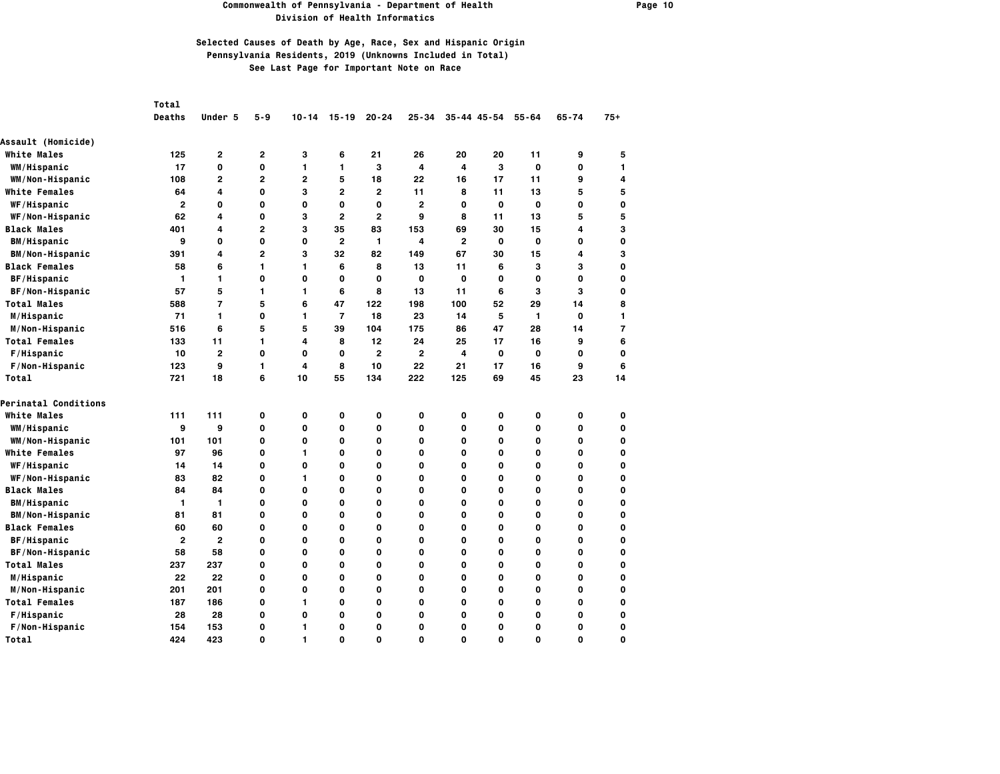### **Commonwealth of Pennsylvania - Department of Health Page 10 Division of Health Informatics**

|                        | Total          |                |                |              |                |                |                |                |                     |             |           |              |
|------------------------|----------------|----------------|----------------|--------------|----------------|----------------|----------------|----------------|---------------------|-------------|-----------|--------------|
|                        | <b>Deaths</b>  | Under 5        | 5-9            | 10-14        | 15-19          | $20 - 24$      | 25-34          |                | $35 - 44$ $45 - 54$ | $55 - 64$   | $65 - 74$ | $75+$        |
| Assault (Homicide)     |                |                |                |              |                |                |                |                |                     |             |           |              |
| <b>White Males</b>     | 125            | $\mathbf{2}$   | 2              | 3            | 6              | 21             | 26             | 20             | 20                  | 11          | 9         | 5            |
| WM/Hispanic            | 17             | 0              | 0              | 1            | 1              | 3              | 4              | 4              | 3                   | 0           | 0         | 1            |
| WM/Non-Hispanic        | 108            | $\mathbf{2}$   | $\overline{2}$ | $\mathbf{2}$ | 5              | 18             | 22             | 16             | 17                  | 11          | 9         | 4            |
| <b>White Females</b>   | 64             | 4              | 0              | з            | $\mathbf{2}$   | $\mathbf{2}$   | 11             | 8              | 11                  | 13          | 5         | 5            |
| WF/Hispanic            | $\overline{2}$ | 0              | 0              | 0            | 0              | 0              | $\overline{2}$ | 0              | $\mathbf 0$         | 0           | 0         | O            |
| WF/Non-Hispanic        | 62             | 4              | 0              | з            | $\overline{2}$ | $\overline{2}$ | 9              | 8              | 11                  | 13          | 5         | 5            |
| <b>Black Males</b>     | 401            | 4              | 2              | 3            | 35             | 83             | 153            | 69             | 30                  | 15          | 4         | 3            |
| <b>BM/Hispanic</b>     | 9              | 0              | 0              | 0            | $\mathbf{2}$   | 1              | 4              | $\overline{2}$ | 0                   | 0           | 0         | O            |
| <b>BM/Non-Hispanic</b> | 391            | 4              | 2              | 3            | 32             | 82             | 149            | 67             | 30                  | 15          | 4         | 3            |
| <b>Black Females</b>   | 58             | 6              | 1              | 1            | 6              | 8              | 13             | 11             | 6                   | 3           | 3         | O            |
| BF/Hispanic            | 1              | 1              | 0              | 0            | O              | 0              | 0              | 0              | 0                   | 0           | 0         | O            |
| BF/Non-Hispanic        | 57             | 5              | 1              | 1            | 6              | 8              | 13             | 11             | 6                   | 3           | 3         | 0            |
| <b>Total Males</b>     | 588            | $\overline{7}$ | 5              | 6            | 47             | 122            | 198            | 100            | 52                  | 29          | 14        | 8            |
| M/Hispanic             | 71             | $\mathbf{1}$   | 0              | 1            | $\overline{7}$ | 18             | 23             | 14             | 5                   | 1           | 0         | $\mathbf{1}$ |
| M/Non-Hispanic         | 516            | 6              | 5              | 5            | 39             | 104            | 175            | 86             | 47                  | 28          | 14        | 7            |
| <b>Total Females</b>   | 133            | 11             | 1              | 4            | 8              | 12             | 24             | 25             | 17                  | 16          | 9         | 6            |
| F/Hispanic             | 10             | $\overline{2}$ | 0              | 0            | 0              | $\overline{2}$ | $\overline{2}$ | 4              | 0                   | $\mathbf 0$ | 0         | O            |
| F/Non-Hispanic         | 123            | 9              | 1              | 4            | 8              | 10             | 22             | 21             | 17                  | 16          | 9         | 6            |
| Total                  | 721            | 18             | 6              | 10           | 55             | 134            | 222            | 125            | 69                  | 45          | 23        | 14           |
| Perinatal Conditions   |                |                |                |              |                |                |                |                |                     |             |           |              |
| <b>White Males</b>     | 111            | 111            | 0              | 0            | 0              | 0              | 0              | 0              | 0                   | 0           | 0         | O            |
| WM/Hispanic            | 9              | 9              | 0              | 0            | 0              | 0              | 0              | 0              | 0                   | 0           | 0         | O            |
| WM/Non-Hispanic        | 101            | 101            | 0              | 0            | 0              | 0              | 0              | 0              | O                   | 0           | 0         | O            |
| <b>White Females</b>   | 97             | 96             | 0              | 1            | O              | 0              | O              | O              | O                   | 0           | O         | O            |
| <b>WF/Hispanic</b>     | 14             | 14             | 0              | 0            | 0              | 0              | O              | 0              | O                   | 0           | O         | O            |
| WF/Non-Hispanic        | 83             | 82             | 0              | 1            | 0              | 0              | 0              | 0              | 0                   | 0           | 0         | O            |
| <b>Black Males</b>     | 84             | 84             | 0              | 0            | 0              | 0              | 0              | 0              | 0                   | 0           | 0         | 0            |
| <b>BM/Hispanic</b>     | 1              | $\mathbf{1}$   | 0              | 0            | 0              | 0              | 0              | 0              | 0                   | 0           | 0         | O            |
| <b>BM/Non-Hispanic</b> | 81             | 81             | 0              | 0            | 0              | 0              | 0              | 0              | 0                   | 0           | 0         | O            |
| <b>Black Females</b>   | 60             | 60             | 0              | 0            | 0              | 0              | 0              | 0              | 0                   | 0           | 0         | O            |
| BF/Hispanic            | $\overline{2}$ | $\overline{2}$ | 0              | 0            | 0              | 0              | 0              | 0              | O                   | 0           | 0         | O            |
| BF/Non-Hispanic        | 58             | 58             | 0              | 0            | O              | 0              | O              | O              | O                   | 0           | O         | O            |
| <b>Total Males</b>     | 237            | 237            | 0              | 0            | 0              | 0              | 0              | 0              | O                   | 0           | 0         | O            |
| M/Hispanic             | 22             | 22             | 0              | 0            | 0              | 0              | 0              | 0              | 0                   | 0           | 0         | O            |
| M/Non-Hispanic         | 201            | 201            | 0              | 0            | 0              | 0              | 0              | 0              | 0                   | 0           | 0         | O            |
| <b>Total Females</b>   | 187            | 186            | 0              | 1            | 0              | 0              | 0              | 0              | 0                   | 0           | 0         | O            |
| F/Hispanic             | 28             | 28             | 0              | 0            | 0              | 0              | 0              | 0              | 0                   | 0           | 0         | O            |
| F/Non-Hispanic         | 154            | 153            | 0              | 1            | 0              | 0              | 0              | 0              | 0                   | 0           | 0         | O            |
| Total                  | 424            | 423            | O              | 1            | 0              | 0              | O              | O              | O                   | 0           | $\Omega$  | O            |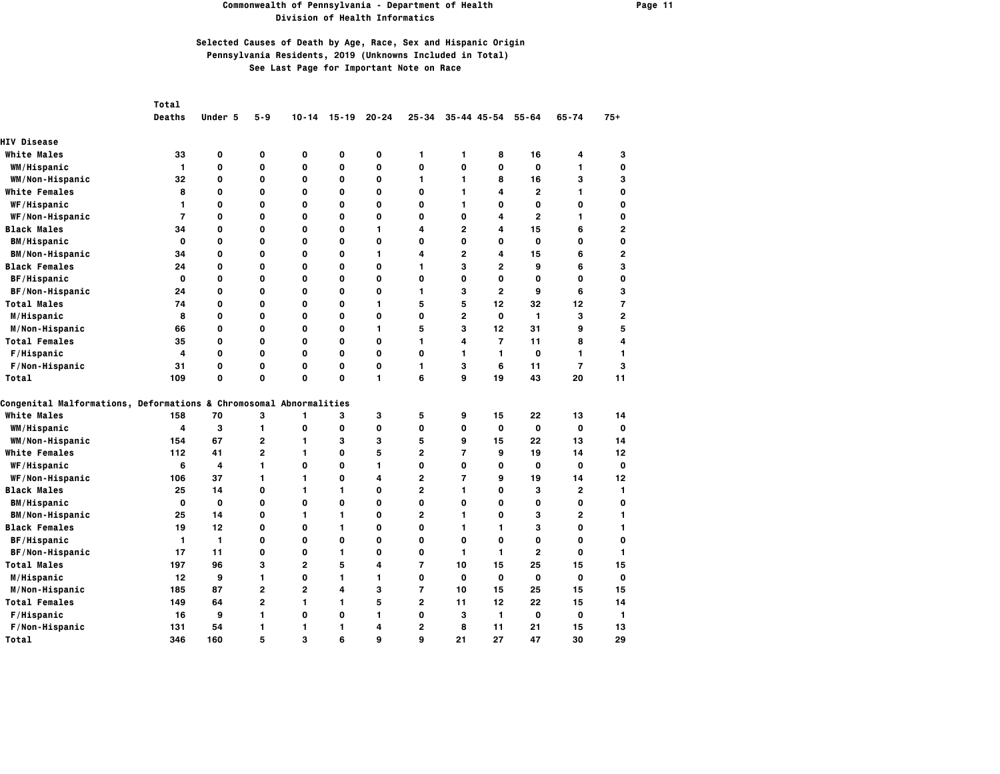#### **Commonwealth of Pennsylvania - Department of Health Page 11 Division of Health Informatics**

|                                                                    | Total          |         |                |                |             |             |                |                |                |                |                |                |
|--------------------------------------------------------------------|----------------|---------|----------------|----------------|-------------|-------------|----------------|----------------|----------------|----------------|----------------|----------------|
|                                                                    | <b>Deaths</b>  | Under 5 | 5-9            | $10 - 14$      | $15 - 19$   | $20 - 24$   | 25-34          |                | 35-44 45-54    | $55 - 64$      | $65 - 74$      | $75+$          |
| <b>HIV Disease</b>                                                 |                |         |                |                |             |             |                |                |                |                |                |                |
| <b>White Males</b>                                                 | 33             | 0       | 0              | 0              | 0           | $\mathbf 0$ | 1              | 1              | 8              | 16             | 4              | 3              |
| WM/Hispanic                                                        | $\mathbf{1}$   | 0       | O              | 0              | $\mathbf 0$ | 0           | 0              | O              | O              | $\mathbf 0$    | 1              | O              |
| WM/Non-Hispanic                                                    | 32             | 0       | 0              | 0              | O           | 0           | 1              | 1              | 8              | 16             | з              | 3              |
| <b>White Females</b>                                               | 8              | O       | O              | 0              | $\mathbf 0$ | 0           | 0              | 1              | 4              | 2              | 1              | O              |
| WF/Hispanic                                                        | 1              | 0       | O              | 0              | $\mathbf 0$ | 0           | 0              | 1              | O              | 0              | O              | O              |
| WF/Non-Hispanic                                                    | $\overline{7}$ | 0       | 0              | 0              | O           | 0           | 0              | 0              | 4              | $\overline{2}$ | 1              | O              |
| <b>Black Males</b>                                                 | 34             | 0       | O              | 0              | $\mathbf 0$ | 1           | 4              | $\overline{2}$ | 4              | 15             | 6              | $\overline{a}$ |
| <b>BM/Hispanic</b>                                                 | 0              | 0       | 0              | 0              | O           | 0           | 0              | 0              | 0              | 0              | O              | O              |
| <b>BM/Non-Hispanic</b>                                             | 34             | 0       | 0              | 0              | $\mathbf 0$ | 1           | 4              | $\overline{2}$ | 4              | 15             | 6              | $\overline{a}$ |
| <b>Black Females</b>                                               | 24             | 0       | 0              | 0              | 0           | 0           | 1              | 3              | $\mathbf{2}$   | 9              | 6              | 3              |
| BF/Hispanic                                                        | $\mathbf{o}$   | 0       | O              | 0              | $\mathbf 0$ | 0           | 0              | 0              | O              | 0              | O              | 0              |
| BF/Non-Hispanic                                                    | 24             | 0       | 0              | 0              | O           | 0           | 1              | з              | $\overline{2}$ | 9              | 6              | 3              |
| <b>Total Males</b>                                                 | 74             | 0       | 0              | 0              | $\mathbf 0$ | 1           | 5              | 5              | 12             | 32             | 12             | 7              |
| M/Hispanic                                                         | 8              | 0       | O              | 0              | $\mathbf 0$ | 0           | 0              | $\overline{2}$ | O              | 1              | з              | 2              |
| M/Non-Hispanic                                                     | 66             | 0       | 0              | 0              | O           | 1           | 5              | 3              | 12             | 31             | 9              | 5              |
| <b>Total Females</b>                                               | 35             | 0       | 0              | 0              | O           | 0           | 1              | 4              | $\overline{7}$ | 11             | 8              | 4              |
| F/Hispanic                                                         | 4              | 0       | 0              | 0              | 0           | 0           | 0              | 1              | 1              | 0              | 1              | 1              |
| F/Non-Hispanic                                                     | 31             | 0       | 0              | 0              | O           | O           | 1              | 3              | 6              | 11             | $\overline{7}$ | з              |
| Total                                                              | 109            | 0       | 0              | 0              | $\mathbf 0$ | 1           | 6              | 9              | 19             | 43             | 20             | 11             |
| Congenital Malformations, Deformations & Chromosomal Abnormalities |                |         |                |                |             |             |                |                |                |                |                |                |
| <b>White Males</b>                                                 | 158            | 70      | 3              | 1              | З           | 3           | 5              | 9              | 15             | 22             | 13             | 14             |
| WM/Hispanic                                                        | 4              | з       | 1              | 0              | 0           | 0           | 0              | 0              | O              | 0              | 0              | O              |
| WM/Non-Hispanic                                                    | 154            | 67      | $\overline{2}$ | 1              | 3           | 3           | 5              | 9              | 15             | 22             | 13             | 14             |
| <b>White Females</b>                                               | 112            | 41      | $\overline{2}$ | 1              | O           | 5           | $\overline{2}$ | $\overline{7}$ | 9              | 19             | 14             | 12             |
| WF/Hispanic                                                        | 6              | 4       | 1              | 0              | 0           | 1           | 0              | 0              | 0              | 0              | 0              | O              |
| WF/Non-Hispanic                                                    | 106            | 37      | 1              | 1              | $\mathbf 0$ | 4           | 2              | $\overline{7}$ | 9              | 19             | 14             | 12             |
| <b>Black Males</b>                                                 | 25             | 14      | 0              | 1.             | 1           | 0           | $\overline{2}$ | 1              | 0              | 3              | 2              | 1              |
| <b>BM/Hispanic</b>                                                 | 0              | 0       | 0              | 0              | $\mathbf 0$ | 0           | 0              | 0              | 0              | 0              | 0              | O              |
| <b>BM/Non-Hispanic</b>                                             | 25             | 14      | 0              | $\mathbf{1}$   | 1           | 0           | 2              | 1              | O              | з              | 2              | 1              |
| <b>Black Females</b>                                               | 19             | 12      | O              | 0              | 1           | 0           | 0              | 1              | 1              | 3              | 0              | 1              |
| BF/Hispanic                                                        | 1              | 1       | 0              | 0              | $\mathbf 0$ | 0           | 0              | 0              | 0              | 0              | 0              | O              |
| BF/Non-Hispanic                                                    | 17             | 11      | O              | 0              | 1           | 0           | 0              | 1              | 1              | $\mathbf{2}$   | 0              | $\mathbf{1}$   |
| <b>Total Males</b>                                                 | 197            | 96      | 3              | $\overline{2}$ | 5           | 4           | 7              | 10             | 15             | 25             | 15             | 15             |
| M/Hispanic                                                         | 12             | 9       | 1              | 0              | 1           | 1           | 0              | O              | 0              | 0              | O              | O              |
| M/Non-Hispanic                                                     | 185            | 87      | $\overline{2}$ | $\mathbf{2}$   | 4           | 3           | $\overline{7}$ | 10             | 15             | 25             | 15             | 15             |
| <b>Total Females</b>                                               | 149            | 64      | $\overline{2}$ | 1.             | 1.          | 5           | $\overline{2}$ | 11             | 12             | 22             | 15             | 14             |
| F/Hispanic                                                         | 16             | 9       | 1              | 0              | $\mathbf 0$ | 1           | 0              | 3              | $\mathbf{1}$   | $\mathbf 0$    | O              | 1              |
| F/Non-Hispanic                                                     | 131            | 54      | 1              | 1              | 1.          | 4           | $\overline{2}$ | 8              | 11             | 21             | 15             | 13             |
| Total                                                              | 346            | 160     | 5              | 3              | 6           | 9           | 9              | 21             | 27             | 47             | 30             | 29             |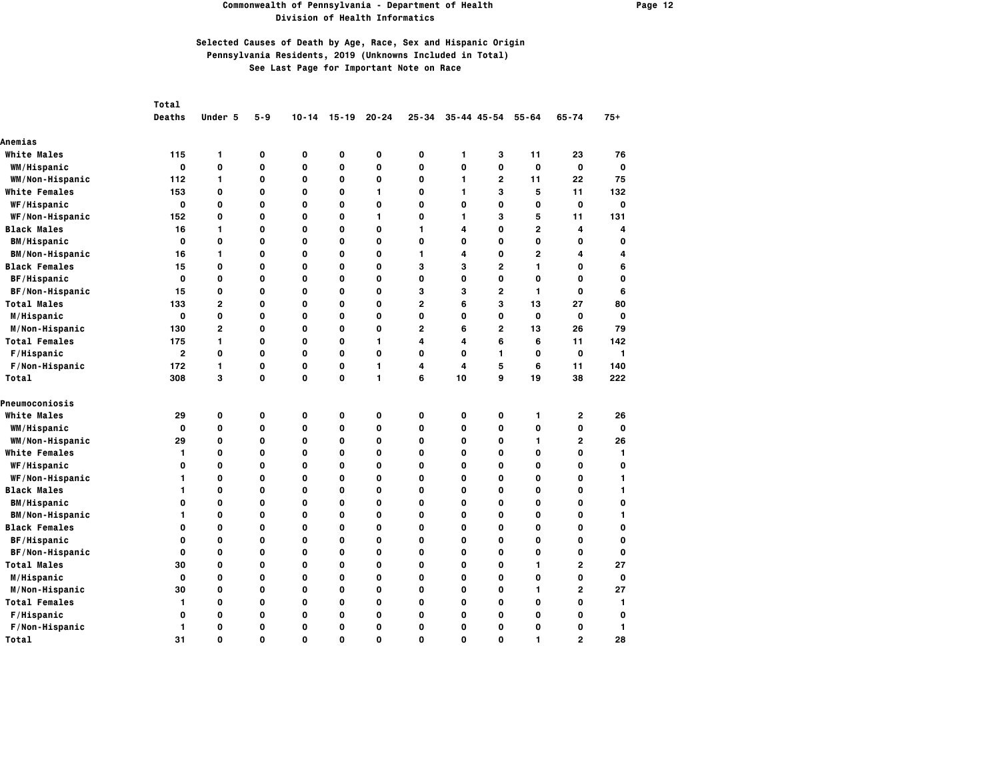### **Commonwealth of Pennsylvania - Department of Health Page 12 Division of Health Informatics**

|                        | Total          |                |             |             |              |           |                         |             |                     |                |                |                         |
|------------------------|----------------|----------------|-------------|-------------|--------------|-----------|-------------------------|-------------|---------------------|----------------|----------------|-------------------------|
|                        | Deaths         | Under 5        | $5 - 9$     | $10 - 14$   | $15 - 19$    | $20 - 24$ | $25 - 34$               |             | $35 - 44$ $45 - 54$ | $55 - 64$      | $65 - 74$      | $75+$                   |
| Anemias                |                |                |             |             |              |           |                         |             |                     |                |                |                         |
| <b>White Males</b>     | 115            | 1              | 0           | 0           | 0            | 0         | 0                       | 1           | з                   | 11             | 23             | 76                      |
| WM/Hispanic            | $\mathbf{o}$   | 0              | 0           | 0           | 0            | 0         | 0                       | 0           | 0                   | 0              | 0              | $\mathbf 0$             |
| WM/Non-Hispanic        | 112            | 1              | 0           | 0           | 0            | 0         | 0                       | 1           | $\mathbf{2}$        | 11             | 22             | 75                      |
| <b>White Females</b>   | 153            | 0              | O           | O           | O            | 1         | O                       | 1           | 3                   | 5              | 11             | 132                     |
| WF/Hispanic            | $\mathbf{o}$   | 0              | 0           | 0           | 0            | 0         | 0                       | 0           | 0                   | 0              | 0              | $\mathbf 0$             |
| WF/Non-Hispanic        | 152            | 0              | O           | O           | O            | 1         | O                       | 1           | 3                   | 5              | 11             | 131                     |
| <b>Black Males</b>     | 16             | 1              | 0           | $\mathbf 0$ | 0            | 0         | 1                       | 4           | 0                   | $\mathbf{2}$   | 4              | $\overline{\mathbf{4}}$ |
| <b>BM/Hispanic</b>     | $\mathbf{o}$   | 0              | O           | O           | O            | 0         | O                       | O           | 0                   | 0              | 0              | O                       |
| <b>BM/Non-Hispanic</b> | 16             | 1              | 0           | 0           | 0            | 0         | 1                       | 4           | 0                   | $\overline{2}$ | 4              | 4                       |
| <b>Black Females</b>   | 15             | 0              | 0           | $\mathbf 0$ | 0            | 0         | 3                       | 3           | $\overline{2}$      | 1              | 0              | 6                       |
| BF/Hispanic            | $\mathbf{o}$   | 0              | 0           | 0           | 0            | 0         | 0                       | 0           | 0                   | 0              | 0              | $\mathbf 0$             |
| BF/Non-Hispanic        | 15             | 0              | 0           | 0           | 0            | 0         | 3                       | з           | $\mathbf{2}$        | 1              | 0              | 6                       |
| <b>Total Males</b>     | 133            | $\mathbf{2}$   | 0           | 0           | 0            | 0         | $\overline{\mathbf{c}}$ | 6           | 3                   | 13             | 27             | 80                      |
| M/Hispanic             | $\mathbf{o}$   | 0              | 0           | $\mathbf 0$ | 0            | 0         | 0                       | $\mathbf 0$ | 0                   | $\mathbf 0$    | O              | 0                       |
| M/Non-Hispanic         | 130            | $\overline{2}$ | O           | O           | O            | 0         | $\overline{2}$          | 6           | $\overline{2}$      | 13             | 26             | 79                      |
| <b>Total Females</b>   | 175            | 1              | 0           | O           | 0            | 1         | 4                       | 4           | 6                   | 6              | 11             | 142                     |
| F/Hispanic             | $\overline{2}$ | 0              | 0           | $\mathbf 0$ | 0            | 0         | 0                       | O           | 1                   | 0              | $\mathbf o$    | $\mathbf{1}$            |
| F/Non-Hispanic         | 172            | 1              | O           | O           | 0            | 1         | 4                       | 4           | 5                   | 6              | 11             | 140                     |
| Total                  | 308            | 3              | 0           | 0           | 0            | 1         | 6                       | 10          | 9                   | 19             | 38             | 222                     |
| Pneumoconiosis         |                |                |             |             |              |           |                         |             |                     |                |                |                         |
| <b>White Males</b>     | 29             | 0              | 0           | 0           | 0            | 0         | 0                       | 0           | 0                   | 1              | 2              | 26                      |
| WM/Hispanic            | $\mathbf{o}$   | 0              | 0           | $\mathbf 0$ | $\mathbf{o}$ | 0         | 0                       | $\mathbf 0$ | 0                   | 0              | $\mathbf o$    | $\mathbf{o}$            |
| WM/Non-Hispanic        | 29             | 0              | O           | O           | O            | 0         | O                       | O           | 0                   | 1              | $\overline{2}$ | 26                      |
| <b>White Females</b>   | 1              | 0              | O           | O           | O            | 0         | O                       | O           | 0                   | 0              | O              | 1                       |
| <b>WF/Hispanic</b>     | 0              | 0              | 0           | 0           | 0            | 0         | 0                       | 0           | 0                   | 0              | 0              | 0                       |
| WF/Non-Hispanic        | 1              | 0              | 0           | 0           | 0            | 0         | 0                       | $\mathbf 0$ | 0                   | 0              | 0              | 1                       |
| <b>Black Males</b>     | 1              | 0              | O           | 0           | 0            | 0         | 0                       | 0           | O                   | 0              | 0              | $\mathbf{1}$            |
| <b>BM/Hispanic</b>     | 0              | 0              | 0           | 0           | 0            | 0         | 0                       | 0           | 0                   | 0              | 0              | 0                       |
| <b>BM/Non-Hispanic</b> | 1              | 0              | 0           | $\mathbf 0$ | 0            | 0         | 0                       | 0           | 0                   | 0              | 0              | $\mathbf{1}$            |
| <b>Black Females</b>   | 0              | 0              | O           | O           | O            | 0         | O                       | O           | O                   | 0              | 0              | 0                       |
| BF/Hispanic            | 0              | 0              | O           | O           | 0            | 0         | 0                       | O           | O                   | 0              | 0              | 0                       |
| BF/Non-Hispanic        | 0              | O              | O           | O           | O            | 0         | $\mathbf 0$             | O           | O                   | O              | O              | 0                       |
| <b>Total Males</b>     | 30             | 0              | O           | O           | O            | 0         | O                       | O           | O                   | 1              | $\overline{2}$ | 27                      |
| M/Hispanic             | 0              | 0              | 0           | 0           | 0            | 0         | 0                       | 0           | 0                   | 0              | 0              | 0                       |
| M/Non-Hispanic         | 30             | 0              | 0           | O           | 0            | 0         | 0                       | O           | 0                   | 1              | $\mathbf{2}$   | 27                      |
| <b>Total Females</b>   | 1              | 0              | 0           | 0           | 0            | 0         | O                       | 0           | 0                   | 0              | 0              | 1                       |
| F/Hispanic             | 0              | 0              | 0           | 0           | 0            | 0         | 0                       | 0           | 0                   | 0              | 0              | 0                       |
| F/Non-Hispanic         | 1              | 0              | 0           | O           | 0            | 0         | 0                       | 0           | 0                   | 0              | 0              | 1                       |
| Total                  | 31             | 0              | $\mathbf 0$ | $\Omega$    | $\mathbf 0$  | 0         | 0                       | $\Omega$    | O                   | 1              | $\overline{2}$ | 28                      |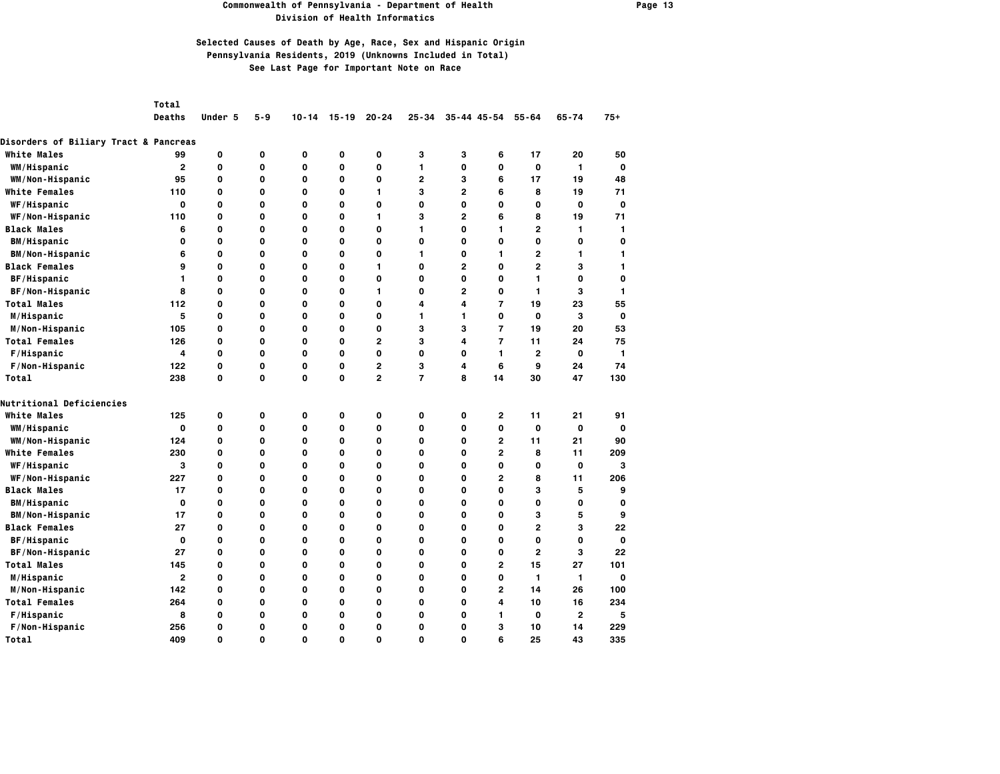#### **Commonwealth of Pennsylvania - Department of Health Page 13 Division of Health Informatics**

## **Selected Causes of Death by Age, Race, Sex and Hispanic Origin Pennsylvania Residents, 2019 (Unknowns Included in Total) See Last Page for Important Note on Race**

*Total* 

 **Deaths Under 5 5-9 10-14 15-19 20-24 25-34 35-44 45-54 55-64 65-74 75+**

| <b>Disorders of Biliary Tract &amp; Pancreas</b> |              |             |              |   |             |                |                |                |                |                |              |              |
|--------------------------------------------------|--------------|-------------|--------------|---|-------------|----------------|----------------|----------------|----------------|----------------|--------------|--------------|
| <b>White Males</b>                               | 99           | 0           | $\mathbf{o}$ | 0 | 0           | 0              | 3              | 3              | 6              | 17             | 20           | 50           |
| WM/Hispanic                                      | $\mathbf{2}$ | 0           | $\mathbf{o}$ | 0 | O           | 0              | 1              | $\mathbf{o}$   | 0              | 0              | 1            | 0            |
| WM/Non-Hispanic                                  | 95           | 0           | $\mathbf{o}$ | 0 | 0           | 0              | $\mathbf{2}$   | 3              | 6              | 17             | 19           | 48           |
| <b>White Females</b>                             | 110          | 0           | $\mathbf{o}$ | 0 | 0           | 1              | 3              | $\overline{2}$ | 6              | 8              | 19           | 71           |
| WF/Hispanic                                      | 0            | 0           | $\mathbf{o}$ | 0 | O           | 0              | O              | 0              | 0              | 0              | 0            | 0            |
| WF/Non-Hispanic                                  | 110          | 0           | 0            | 0 | O           | 1              | з              | 2              | 6              | 8              | 19           | 71           |
| <b>Black Males</b>                               | 6            | 0           | $\mathbf{o}$ | 0 | 0           | 0              | 1              | 0              | 1              | $\mathbf{2}$   | 1            | $\mathbf{1}$ |
| <b>BM/Hispanic</b>                               | 0            | 0           | $\mathbf{o}$ | 0 | $\mathbf 0$ | 0              | O              | 0              | 0              | O              | 0            | 0            |
| <b>BM/Non-Hispanic</b>                           | 6            | 0           | $\mathbf{o}$ | 0 | 0           | 0              | 1              | 0              | 1.             | $\mathbf{2}$   | 1.           | 1            |
| <b>Black Females</b>                             | 9            | 0           | $\mathbf{o}$ | 0 | 0           | 1              | O              | $\overline{2}$ | 0              | $\mathbf{2}$   | 3            | $\mathbf{1}$ |
| BF/Hispanic                                      | 1            | 0           | $\mathbf{o}$ | 0 | 0           | 0              | 0              | 0              | 0              | 1              | 0            | 0            |
| BF/Non-Hispanic                                  | 8            | 0           | 0            | 0 | O           | 1              | 0              | 2              | 0              | 1              | 3            | 1            |
| <b>Total Males</b>                               | 112          | 0           | $\mathbf{o}$ | 0 | O           | 0              | 4              | 4              | $\overline{7}$ | 19             | 23           | 55           |
| M/Hispanic                                       | 5            | 0           | $\mathbf{o}$ | 0 | 0           | 0              | 1              | 1              | 0              | $\mathbf 0$    | 3            | 0            |
| M/Non-Hispanic                                   | 105          | 0           | $\mathbf{o}$ | 0 | 0           | 0              | 3              | 3              | $\overline{7}$ | 19             | 20           | 53           |
| <b>Total Females</b>                             | 126          | 0           | $\mathbf{o}$ | 0 | O           | $\overline{2}$ | 3              | 4              | $\overline{7}$ | 11             | 24           | 75           |
| F/Hispanic                                       | 4            | 0           | $\mathbf{o}$ | 0 | O           | 0              | O              | 0              | 1              | $\overline{2}$ | 0            | 1            |
| F/Non-Hispanic                                   | 122          | $\mathbf 0$ | $\mathbf{o}$ | 0 | 0           | $\overline{2}$ | 3              | 4              | 6              | 9              | 24           | 74           |
| Total                                            | 238          | 0           | $\mathbf{o}$ | 0 | 0           | $\overline{2}$ | $\overline{7}$ | 8              | 14             | 30             | 47           | 130          |
| Nutritional Deficiencies                         |              |             |              |   |             |                |                |                |                |                |              |              |
| <b>White Males</b>                               | 125          | 0           | 0            | 0 | 0           | 0              | 0              | 0              | $\mathbf{2}$   | 11             | 21           | 91           |
| WM/Hispanic                                      | 0            | 0           | $\mathbf{o}$ | 0 | 0           | 0              | 0              | 0              | 0              | $\mathbf 0$    | 0            | 0            |
| WM/Non-Hispanic                                  | 124          | 0           | $\mathbf{o}$ | 0 | 0           | 0              | 0              | 0              | $\mathbf{2}$   | 11             | 21           | 90           |
| <b>White Females</b>                             | 230          | 0           | $\mathbf{o}$ | 0 | O           | 0              | O              | 0              | $\overline{2}$ | 8              | 11           | 209          |
| WF/Hispanic                                      | з            | 0           | $\mathbf{o}$ | 0 | 0           | 0              | 0              | 0              | 0              | 0              | 0            | 3            |
| WF/Non-Hispanic                                  | 227          | 0           | $\mathbf{o}$ | 0 | 0           | 0              | 0              | 0              | $\overline{2}$ | 8              | 11           | 206          |
| <b>Black Males</b>                               | 17           | 0           | $\mathbf{o}$ | 0 | $\mathbf 0$ | 0              | 0              | 0              | 0              | 3              | 5            | 9            |
| <b>BM/Hispanic</b>                               | 0            | 0           | 0            | 0 | 0           | 0              | 0              | 0              | 0              | 0              | 0            | 0            |
| <b>BM/Non-Hispanic</b>                           | 17           | 0           | $\mathbf{o}$ | 0 | 0           | 0              | 0              | 0              | 0              | 3              | 5            | 9            |
| <b>Black Females</b>                             | 27           | 0           | $\mathbf{o}$ | 0 | 0           | 0              | 0              | 0              | 0              | $\overline{2}$ | 3            | 22           |
| BF/Hispanic                                      | 0            | 0           | $\mathbf{o}$ | 0 | 0           | 0              | 0              | 0              | 0              | 0              | 0            | 0            |
| BF/Non-Hispanic                                  | 27           | 0           | $\mathbf{o}$ | 0 | 0           | 0              | 0              | 0              | 0              | 2              | з            | 22           |
| <b>Total Males</b>                               | 145          | 0           | $\mathbf{o}$ | 0 | O           | 0              | 0              | 0              | $\overline{2}$ | 15             | 27           | 101          |
| M/Hispanic                                       | $\mathbf{2}$ | 0           | $\mathbf{o}$ | 0 | 0           | 0              | 0              | 0              | 0              | 1              | $\mathbf{1}$ | 0            |
| M/Non-Hispanic                                   | 142          | 0           | $\mathbf{o}$ | 0 | 0           | 0              | 0              | 0              | $\overline{2}$ | 14             | 26           | 100          |
| <b>Total Females</b>                             | 264          | 0           | $\mathbf{o}$ | 0 | 0           | 0              | 0              | 0              | 4              | 10             | 16           | 234          |
| F/Hispanic                                       | 8            | 0           | 0            | 0 | 0           | 0              | 0              | 0              | 1              | $\mathbf 0$    | $\mathbf{2}$ | 5            |
| F/Non-Hispanic                                   | 256          | 0           | $\mathbf{o}$ | 0 | 0           | 0              | 0              | 0              | З              | 10             | 14           | 229          |
| Total                                            | 409          | 0           | $\Omega$     | O | O           | $\Omega$       | O              | 0              | 6              | 25             | 43           | 335          |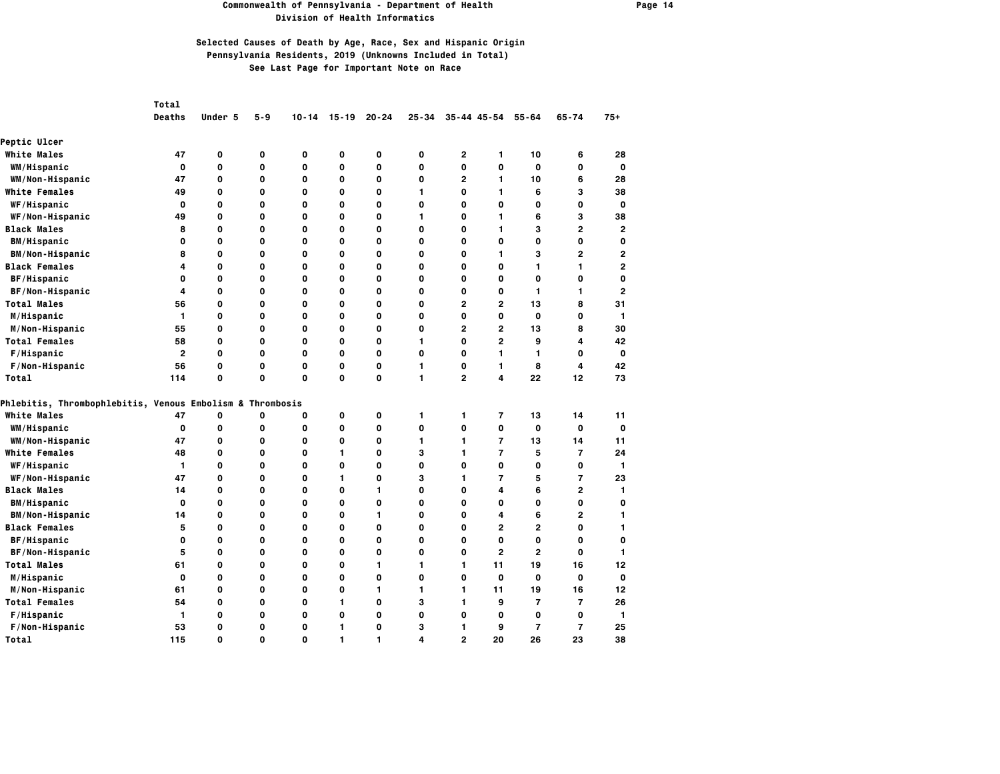#### **Commonwealth of Pennsylvania - Department of Health Page 14 Division of Health Informatics**

|                                                           | Total          |             |          |             |           |           |             |                         |                     |                |                |                         |
|-----------------------------------------------------------|----------------|-------------|----------|-------------|-----------|-----------|-------------|-------------------------|---------------------|----------------|----------------|-------------------------|
|                                                           | <b>Deaths</b>  | Under 5     | $5 - 9$  | $10 - 14$   | $15 - 19$ | $20 - 24$ | $25 - 34$   |                         | $35 - 44$ $45 - 54$ | $55 - 64$      | $65 - 74$      | $75+$                   |
| <b>Peptic Ulcer</b>                                       |                |             |          |             |           |           |             |                         |                     |                |                |                         |
| <b>White Males</b>                                        | 47             | 0           | 0        | 0           | 0         | 0         | 0           | $\overline{\mathbf{c}}$ | 1                   | 10             | 6              | 28                      |
| WM/Hispanic                                               | 0              | 0           | 0        | 0           | 0         | 0         | 0           | 0                       | 0                   | 0              | 0              | $\mathbf 0$             |
| WM/Non-Hispanic                                           | 47             | 0           | 0        | $\mathbf 0$ | 0         | 0         | 0           | $\mathbf{2}$            | 1                   | 10             | 6              | 28                      |
| <b>White Females</b>                                      | 49             | 0           | 0        | 0           | 0         | 0         | 1           | 0                       | 1                   | 6              | 3              | 38                      |
| WF/Hispanic                                               | 0              | $\mathbf 0$ | O        | O           | O         | 0         | $\mathbf 0$ | 0                       | 0                   | 0              | 0              | 0                       |
| WF/Non-Hispanic                                           | 49             | 0           | O        | O           | 0         | 0         | 1           | 0                       | 1                   | 6              | 3              | 38                      |
| <b>Black Males</b>                                        | 8              | 0           | 0        | $\mathbf 0$ | 0         | 0         | 0           | O                       | 1                   | 3              | $\overline{2}$ | 2                       |
| <b>BM/Hispanic</b>                                        | 0              | O           | O        | O           | 0         | 0         | O           | O                       | 0                   | 0              | 0              | O                       |
| <b>BM/Non-Hispanic</b>                                    | 8              | 0           | 0        | 0           | 0         | 0         | 0           | 0                       | 1                   | з              | $\overline{2}$ | $\overline{\mathbf{c}}$ |
| <b>Black Females</b>                                      | 4              | 0           | 0        | $\mathbf 0$ | 0         | 0         | 0           | O                       | 0                   | $\mathbf{1}$   | 1              | $\overline{2}$          |
| BF/Hispanic                                               | 0              | 0           | 0        | 0           | 0         | 0         | 0           | 0                       | 0                   | 0              | 0              | 0                       |
| BF/Non-Hispanic                                           | 4              | 0           | 0        | 0           | 0         | 0         | 0           | 0                       | 0                   | 1              | 1              | $\overline{2}$          |
| <b>Total Males</b>                                        | 56             | 0           | 0        | 0           | 0         | 0         | 0           | $\overline{2}$          | $\overline{2}$      | 13             | 8              | 31                      |
| M/Hispanic                                                | $\mathbf{1}$   | $\mathbf 0$ | 0        | $\mathbf 0$ | 0         | 0         | 0           | 0                       | 0                   | 0              | 0              | 1                       |
| M/Non-Hispanic                                            | 55             | O           | O        | O           | 0         | 0         | O           | $\overline{2}$          | $\overline{2}$      | 13             | 8              | 30                      |
| <b>Total Females</b>                                      | 58             | 0           | 0        | O           | 0         | 0         | 1           | O                       | $\overline{2}$      | 9              | 4              | 42                      |
| F/Hispanic                                                | $\overline{2}$ | 0           | 0        | $\mathbf 0$ | 0         | 0         | 0           | O                       | $\mathbf{1}$        | $\mathbf{1}$   | 0              | 0                       |
| F/Non-Hispanic                                            | 56             | O           | 0        | 0           | 0         | 0         | 1           | O                       | 1                   | 8              | 4              | 42                      |
| Total                                                     | 114            | 0           | 0        | O           | 0         | 0         | 1           | $\overline{2}$          | 4                   | 22             | 12             | 73                      |
| Phlebitis, Thrombophlebitis, Venous Embolism & Thrombosis |                |             |          |             |           |           |             |                         |                     |                |                |                         |
| <b>White Males</b>                                        | 47             | 0           | 0        | 0           | 0         | 0         | 1           | $\mathbf{1}$            | 7                   | 13             | 14             | 11                      |
| WM/Hispanic                                               | $\mathbf{o}$   | 0           | 0        | $\mathbf 0$ | 0         | 0         | 0           | $\mathbf 0$             | 0                   | 0              | $\mathbf{o}$   | $\mathbf{o}$            |
| WM/Non-Hispanic                                           | 47             | O           | O        | O           | O         | 0         | 1           | 1                       | $\overline{7}$      | 13             | 14             | 11                      |
| <b>White Females</b>                                      | 48             | O           | O        | O           | 1         | 0         | 3           | 1                       | $\overline{7}$      | 5              | $\overline{7}$ | 24                      |
| <b>WF/Hispanic</b>                                        | 1              | 0           | 0        | 0           | 0         | 0         | O           | 0                       | 0                   | 0              | 0              | 1                       |
| WF/Non-Hispanic                                           | 47             | 0           | 0        | $\mathbf 0$ | 1         | 0         | 3           | 1                       | $\overline{7}$      | 5              | 7              | 23                      |
| <b>Black Males</b>                                        | 14             | 0           | 0        | 0           | 0         | 1         | 0           | 0                       | 4                   | 6              | $\overline{2}$ | $\mathbf{1}$            |
| <b>BM/Hispanic</b>                                        | 0              | 0           | 0        | 0           | 0         | 0         | 0           | 0                       | 0                   | 0              | 0              | 0                       |
| <b>BM/Non-Hispanic</b>                                    | 14             | 0           | 0        | $\mathbf 0$ | 0         | 1         | 0           | 0                       | 4                   | 6              | 2              | 1                       |
| <b>Black Females</b>                                      | 5              | 0           | O        | O           | 0         | 0         | O           | O                       | $\overline{2}$      | $\overline{2}$ | O              | 1                       |
| BF/Hispanic                                               | 0              | 0           | 0        | O           | 0         | 0         | O           | 0                       | 0                   | 0              | O              | 0                       |
| BF/Non-Hispanic                                           | 5              | $\mathbf 0$ | O        | O           | 0         | 0         | $\mathbf 0$ | O                       | $\overline{2}$      | $\overline{2}$ | 0              | 1                       |
| <b>Total Males</b>                                        | 61             | 0           | O        | 0           | O         | 1         | 1           | 1                       | 11                  | 19             | 16             | 12                      |
| M/Hispanic                                                | 0              | 0           | 0        | 0           | 0         | 0         | 0           | 0                       | 0                   | 0              | 0              | 0                       |
| M/Non-Hispanic                                            | 61             | 0           | O        | $\mathbf 0$ | 0         | 1         | 1           | 1                       | 11                  | 19             | 16             | 12                      |
| <b>Total Females</b>                                      | 54             | 0           | 0        | 0           | 1         | 0         | 3           | 1                       | 9                   | $\overline{7}$ | $\overline{7}$ | 26                      |
| F/Hispanic                                                | $\mathbf{1}$   | 0           | 0        | 0           | 0         | 0         | 0           | 0                       | 0                   | 0              | 0              | $\mathbf{1}$            |
| F/Non-Hispanic                                            | 53             | 0           | 0        | 0           | 1         | 0         | з           | 1                       | 9                   | $\overline{7}$ | $\overline{7}$ | 25                      |
| Total                                                     | 115            | O           | $\Omega$ | $\Omega$    | 1         | 1         | 4           | $\overline{2}$          | 20                  | 26             | 23             | 38                      |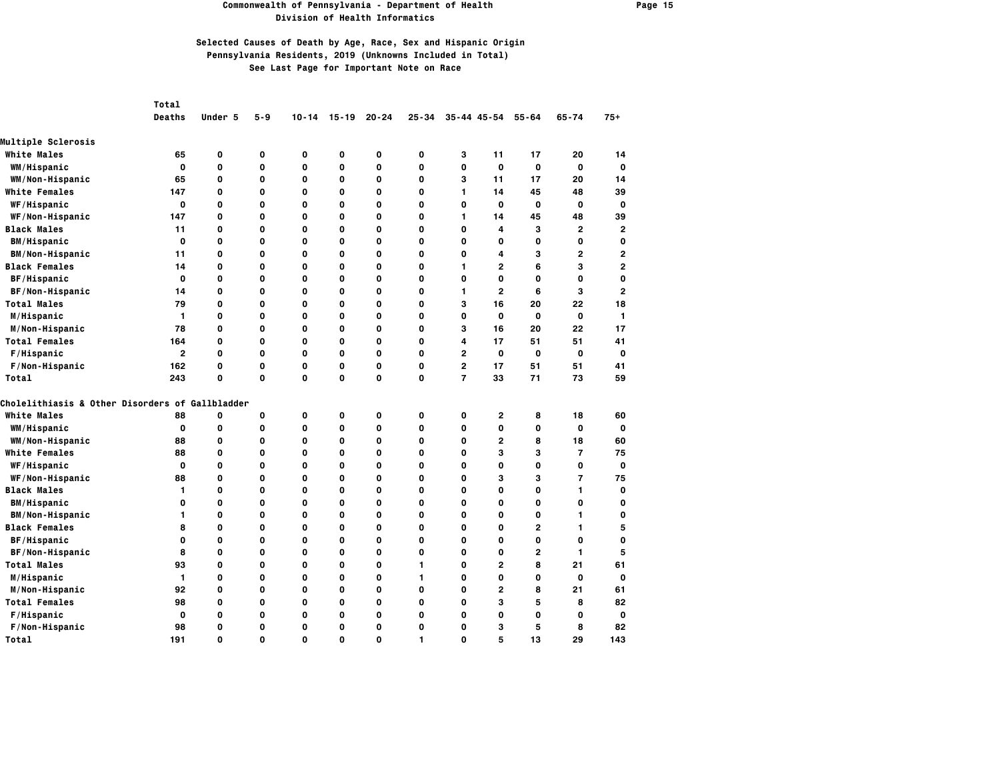#### **Commonwealth of Pennsylvania - Department of Health Page 15 Division of Health Informatics**

|                                                 | Total        |          |     |              |             |           |              |                |                     |                |                          |                |
|-------------------------------------------------|--------------|----------|-----|--------------|-------------|-----------|--------------|----------------|---------------------|----------------|--------------------------|----------------|
|                                                 | Deaths       | Under 5  | 5-9 | $10 - 14$    | $15 - 19$   | $20 - 24$ | $25 - 34$    |                | $35 - 44$ $45 - 54$ | $55 - 64$      | $65 - 74$                | $75+$          |
| <b>Multiple Sclerosis</b>                       |              |          |     |              |             |           |              |                |                     |                |                          |                |
| <b>White Males</b>                              | 65           | 0        | 0   | 0            | 0           | 0         | $\mathbf{o}$ | 3              | 11                  | 17             | 20                       | 14             |
| WM/Hispanic                                     | O            | 0        | 0   | 0            | O           | 0         | $\mathbf{o}$ | 0              | $\Omega$            | O              | 0                        | 0              |
| WM/Non-Hispanic                                 | 65           | 0        | 0   | 0            | 0           | 0         | $\mathbf{o}$ | 3              | 11                  | 17             | 20                       | 14             |
| <b>White Females</b>                            | 147          | 0        | O   | 0            | $\mathbf 0$ | 0         | $\mathbf{o}$ | 1              | 14                  | 45             | 48                       | 39             |
| WF/Hispanic                                     | O            | 0        | O   | 0            | O           | 0         | $\mathbf{o}$ | 0              | 0                   | $\mathbf 0$    | 0                        | 0              |
| WF/Non-Hispanic                                 | 147          | 0        | 0   | 0            | 0           | 0         | 0            | 1              | 14                  | 45             | 48                       | 39             |
| <b>Black Males</b>                              | 11           | 0        | 0   | 0            | 0           | 0         | $\mathbf{o}$ | 0              | 4                   | з              | $\overline{2}$           | $\overline{2}$ |
| <b>BM/Hispanic</b>                              | 0            | 0        | 0   | 0            | O           | 0         | $\mathbf{o}$ | 0              | 0                   | 0              | 0                        | 0              |
| <b>BM/Non-Hispanic</b>                          | 11           | 0        | 0   | 0            | 0           | 0         | 0            | 0              | 4                   | з              | 2                        | $\overline{2}$ |
| <b>Black Females</b>                            | 14           | 0        | 0   | 0            | 0           | 0         | $\mathbf{o}$ | 1              | $\overline{2}$      | 6              | 3                        | $\overline{2}$ |
| BF/Hispanic                                     | 0            | O        | O   | 0            | $\mathbf 0$ | 0         | $\Omega$     | O              | $\Omega$            | O              | 0                        | $\mathbf 0$    |
| BF/Non-Hispanic                                 | 14           | 0        | 0   | 0            | 0           | 0         | 0            | 1              | $\overline{2}$      | 6              | з                        | $\overline{2}$ |
| <b>Total Males</b>                              | 79           | 0        | 0   | 0            | $\mathbf 0$ | 0         | $\mathbf{o}$ | 3              | 16                  | 20             | 22                       | 18             |
| M/Hispanic                                      | 1            | 0        | O   | 0            | O           | 0         | $\mathbf{o}$ | 0              | 0                   | $\mathbf 0$    | O                        | $\mathbf{1}$   |
| M/Non-Hispanic                                  | 78           | 0        | 0   | 0            | O           | 0         | 0            | 3              | 16                  | 20             | 22                       | 17             |
| <b>Total Females</b>                            | 164          | 0        | O   | 0            | O           | 0         | $\mathbf{o}$ | 4              | 17                  | 51             | 51                       | 41             |
| F/Hispanic                                      | $\mathbf{2}$ | 0        | O   | 0            | O           | 0         | $\mathbf{o}$ | $\overline{2}$ | 0                   | $\mathbf 0$    | 0                        | 0              |
| F/Non-Hispanic                                  | 162          | 0        | 0   | 0            | 0           | 0         | 0            | 2              | 17                  | 51             | 51                       | 41             |
| Total                                           | 243          | 0        | 0   | $\mathbf{o}$ | 0           | 0         | $\mathbf{o}$ | $\overline{7}$ | 33                  | 71             | 73                       | 59             |
| Cholelithiasis & Other Disorders of Gallbladder |              |          |     |              |             |           |              |                |                     |                |                          |                |
| <b>White Males</b>                              | 88           | 0        | 0   | $\mathbf{o}$ | 0           | 0         | $\mathbf{o}$ | 0              | $\mathbf{2}$        | 8              | 18                       | 60             |
| WM/Hispanic                                     | O            | 0        | 0   | 0            | O           | 0         | $\mathbf{o}$ | 0              | 0                   | 0              | 0                        | $\Omega$       |
| WM/Non-Hispanic                                 | 88           | 0        | 0   | 0            | 0           | 0         | 0            | 0              | $\mathbf{2}$        | 8              | 18                       | 60             |
| <b>White Females</b>                            | 88           | 0        | 0   | 0            | 0           | 0         | $\mathbf{o}$ | 0              | 3                   | з              | $\overline{7}$           | 75             |
| WF/Hispanic                                     | 0            | 0        | 0   | 0            | O           | 0         | $\mathbf{o}$ | 0              | 0                   | 0              | 0                        | 0              |
| WF/Non-Hispanic                                 | 88           | 0        | 0   | 0            | 0           | 0         | 0            | 0              | з                   | з              | $\overline{\phantom{a}}$ | 75             |
| <b>Black Males</b>                              | 1            | 0        | 0   | 0            | 0           | 0         | $\mathbf{o}$ | 0              | O                   | 0              | 1                        | 0              |
| <b>BM/Hispanic</b>                              | 0            | O        | 0   | 0            | O           | 0         | 0            | 0              | 0                   | 0              | 0                        | 0              |
| <b>BM/Non-Hispanic</b>                          | 1.           | 0        | 0   | 0            | 0           | 0         | 0            | 0              | 0                   | 0              | 1                        | 0              |
| <b>Black Females</b>                            | 8            | 0        | 0   | 0            | $\mathbf 0$ | 0         | $\mathbf{o}$ | 0              | 0                   | $\overline{2}$ | 1                        | 5              |
| BF/Hispanic                                     | 0            | 0        | O   | 0            | O           | 0         | $\mathbf{o}$ | 0              | 0                   | 0              | 0                        | 0              |
| BF/Non-Hispanic                                 | 8            | 0        | O   | 0            | $\mathbf 0$ | 0         | $\mathbf{o}$ | 0              | 0                   | $\overline{2}$ | 1                        | 5              |
| <b>Total Males</b>                              | 93           | 0        | 0   | 0            | 0           | 0         | 1            | 0              | $\mathbf{2}$        | 8              | 21                       | 61             |
| M/Hispanic                                      | 1            | 0        | 0   | 0            | $\mathbf 0$ | 0         | 1            | 0              | 0                   | 0              | O                        | 0              |
| M/Non-Hispanic                                  | 92           | 0        | 0   | 0            | 0           | 0         | 0            | 0              | $\mathbf{2}$        | 8              | 21                       | 61             |
| <b>Total Females</b>                            | 98           | 0        | 0   | 0            | 0           | 0         | $\mathbf{o}$ | 0              | 3                   | 5              | 8                        | 82             |
| F/Hispanic                                      | 0            | 0        | 0   | 0            | 0           | 0         | 0            | 0              | 0                   | O              | 0                        | 0              |
| F/Non-Hispanic                                  | 98           | 0        | 0   | 0            | 0           | 0         | 0            | 0              | з                   | 5              | 8                        | 82             |
| Total                                           | 191          | $\Omega$ | 0   | O            | $\mathbf 0$ | 0         | 1            | O              | 5                   | 13             | 29                       | 143            |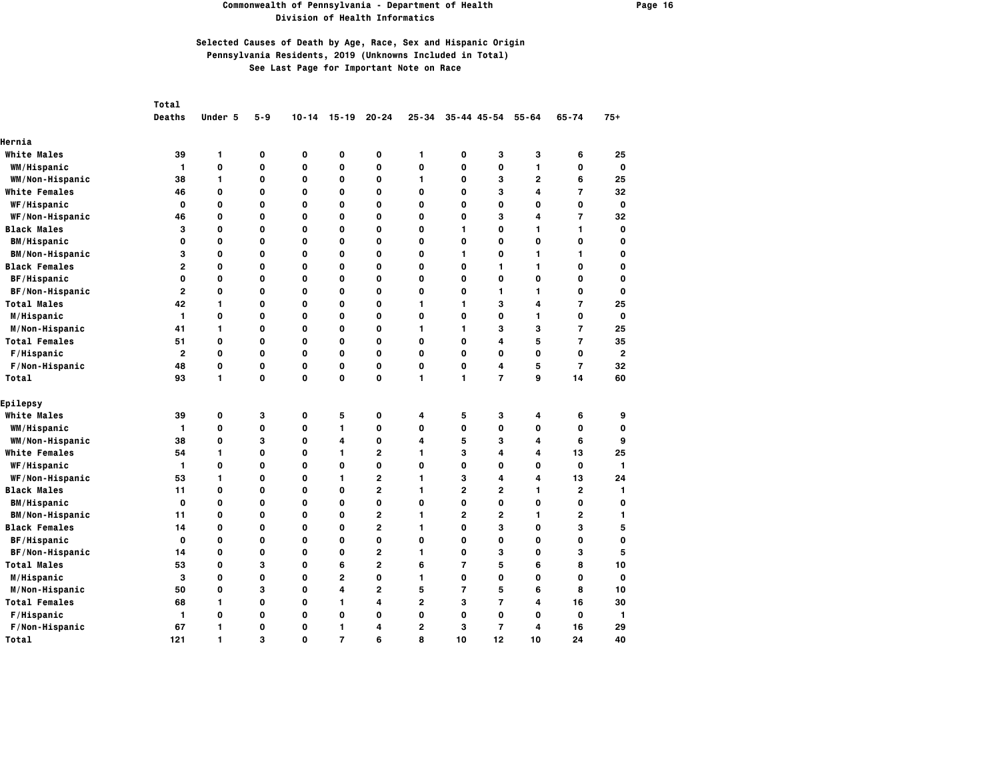### **Commonwealth of Pennsylvania - Department of Health Page 16 Division of Health Informatics**

|                        | Total          |             |     |              |                |                |                |                |                     |                         |                         |                |
|------------------------|----------------|-------------|-----|--------------|----------------|----------------|----------------|----------------|---------------------|-------------------------|-------------------------|----------------|
|                        | <b>Deaths</b>  | Under 5     | 5-9 | $10 - 14$    | $15 - 19$      | $20 - 24$      | $25 - 34$      |                | $35 - 44$ $45 - 54$ | $55 - 64$               | $65 - 74$               | $75+$          |
| Hernia                 |                |             |     |              |                |                |                |                |                     |                         |                         |                |
| <b>White Males</b>     | 39             | 1           | 0   | $\mathbf{o}$ | 0              | 0              | 1              | 0              | 3                   | 3                       | 6                       | 25             |
| WM/Hispanic            | $\mathbf{1}$   | 0           | 0   | 0            | O              | 0              | $\mathbf{o}$   | 0              | 0                   | $\mathbf{1}$            | 0                       | 0              |
| WM/Non-Hispanic        | 38             | 1           | 0   | 0            | 0              | 0              | $\mathbf{1}$   | 0              | 3                   | $\overline{2}$          | 6                       | 25             |
| <b>White Females</b>   | 46             | 0           | 0   | 0            | 0              | 0              | 0              | 0              | з                   | 4                       | $\overline{7}$          | 32             |
| WF/Hispanic            | 0              | 0           | 0   | 0            | 0              | 0              | $\mathbf{o}$   | 0              | 0                   | 0                       | 0                       | $\mathbf 0$    |
| WF/Non-Hispanic        | 46             | 0           | O   | 0            | $\mathbf 0$    | 0              | $\mathbf{o}$   | 0              | 3                   | 4                       | $\overline{7}$          | 32             |
| <b>Black Males</b>     | 3              | 0           | O   | 0            | O              | 0              | $\mathbf{o}$   | 1              | 0                   | $\mathbf{1}$            | 1                       | 0              |
| <b>BM/Hispanic</b>     | 0              | 0           | 0   | 0            | O              | 0              | $\mathbf{o}$   | 0              | 0                   | O                       | 0                       | 0              |
| <b>BM/Non-Hispanic</b> | 3              | 0           | 0   | 0            | 0              | 0              | $\mathbf{o}$   | 1              | $\mathbf o$         | $\mathbf{1}$            | 1                       | 0              |
| <b>Black Females</b>   | $\overline{2}$ | 0           | O   | $\mathbf{o}$ | O              | 0              | $\mathbf{o}$   | 0              | 1                   | $\mathbf{1}$            | 0                       | 0              |
| BF/Hispanic            | 0              | 0           | 0   | 0            | 0              | 0              | 0              | 0              | 0                   | O                       | 0                       | 0              |
| BF/Non-Hispanic        | 2              | 0           | 0   | 0            | 0              | 0              | 0              | 0              | 1                   | 1                       | 0                       | 0              |
| <b>Total Males</b>     | 42             | 1           | 0   | 0            | 0              | 0              | 1              | 1              | 3                   | $\overline{\mathbf{4}}$ | $\overline{7}$          | 25             |
| M/Hispanic             | 1              | O           | O   | 0            | $\mathbf 0$    | 0              | $\mathbf{o}$   | 0              | $\mathbf 0$         | $\mathbf{1}$            | 0                       | 0              |
| M/Non-Hispanic         | 41             | 1           | O   | 0            | $\mathbf 0$    | 0              | 1              | 1              | 3                   | 3                       | $\overline{7}$          | 25             |
| <b>Total Females</b>   | 51             | 0           | 0   | 0            | 0              | 0              | $\mathbf{o}$   | 0              | 4                   | 5                       | $\overline{7}$          | 35             |
| F/Hispanic             | $\overline{2}$ | 0           | 0   | $\mathbf{o}$ | 0              | 0              | $\mathbf{o}$   | 0              | $\mathbf o$         | 0                       | $\mathbf 0$             | $\overline{2}$ |
| F/Non-Hispanic         | 48             | 0           | O   | 0            | 0              | 0              | $\mathbf{o}$   | 0              | 4                   | 5                       | $\overline{7}$          | 32             |
| Total                  | 93             | 1           | 0   | 0            | 0              | 0              | $\mathbf{1}$   | 1              | $\overline{7}$      | 9                       | 14                      | 60             |
| Epilepsy               |                |             |     |              |                |                |                |                |                     |                         |                         |                |
| <b>White Males</b>     | 39             | 0           | з   | 0            | 5              | 0              | 4              | 5              | з                   | 4                       | 6                       | 9              |
| WM/Hispanic            | $\mathbf{1}$   | 0           | 0   | 0            | 1              | 0              | $\mathbf{o}$   | 0              | 0                   | 0                       | 0                       | O              |
| WM/Non-Hispanic        | 38             | 0           | 3   | $\mathbf{o}$ | 4              | 0              | 4              | 5              | 3                   | $\overline{\mathbf{4}}$ | 6                       | 9              |
| <b>White Females</b>   | 54             | 1           | O   | 0            | 1              | $\overline{2}$ | 1              | 3              | 4                   | 4                       | 13                      | 25             |
| WF/Hispanic            | $\mathbf{1}$   | 0           | 0   | 0            | O              | 0              | $\mathbf{o}$   | 0              | 0                   | 0                       | O                       | 1              |
| WF/Non-Hispanic        | 53             | 1           | 0   | 0            | 1              | $\mathbf{2}$   | 1              | з              | 4                   | 4                       | 13                      | 24             |
| <b>Black Males</b>     | 11             | $\mathbf 0$ | 0   | 0            | $\mathbf 0$    | $\overline{2}$ | 1              | 2              | $\overline{2}$      | $\mathbf{1}$            | $\overline{\mathbf{c}}$ | 1              |
| <b>BM/Hispanic</b>     | 0              | O           | 0   | 0            | 0              | 0              | 0              | 0              | 0                   | O                       | 0                       | $\mathbf 0$    |
| <b>BM/Non-Hispanic</b> | 11             | 0           | 0   | 0            | 0              | $\mathbf{2}$   | 1              | 2              | $\overline{2}$      | 1                       | 2                       | 1              |
| <b>Black Females</b>   | 14             | 0           | O   | 0            | $\mathbf 0$    | $\mathbf{2}$   | 1              | 0              | 3                   | O                       | 3                       | 5              |
| BF/Hispanic            | 0              | 0           | 0   | 0            | 0              | 0              | $\mathbf 0$    | 0              | 0                   | 0                       | 0                       | 0              |
| BF/Non-Hispanic        | 14             | 0           | O   | 0            | O              | $\overline{2}$ | 1              | 0              | 3                   | 0                       | 3                       | 5              |
| <b>Total Males</b>     | 53             | 0           | з   | 0            | 6              | $\overline{2}$ | 6              | 7              | 5                   | 6                       | 8                       | 10             |
| M/Hispanic             | з              | 0           | 0   | 0            | $\mathbf{2}$   | 0              | $\mathbf{1}$   | 0              | 0                   | 0                       | 0                       | 0              |
| M/Non-Hispanic         | 50             | 0           | 3   | 0            | 4              | $\overline{2}$ | 5              | $\overline{7}$ | 5                   | 6                       | 8                       | 10             |
| <b>Total Females</b>   | 68             | 1           | 0   | 0            | 1              | 4              | $\overline{2}$ | 3              | $\overline{7}$      | 4                       | 16                      | 30             |
| F/Hispanic             | 1              | 0           | 0   | 0            | $\mathbf 0$    | 0              | $\mathbf{o}$   | 0              | 0                   | 0                       | 0                       | 1              |
| F/Non-Hispanic         | 67             | 1           | 0   | 0            | 1              | 4              | $\overline{2}$ | 3              | $\overline{7}$      | 4                       | 16                      | 29             |
| Total                  | 121            | 1           | 3   | O            | $\overline{7}$ | 6              | 8              | 10             | 12                  | 10                      | 24                      | 40             |